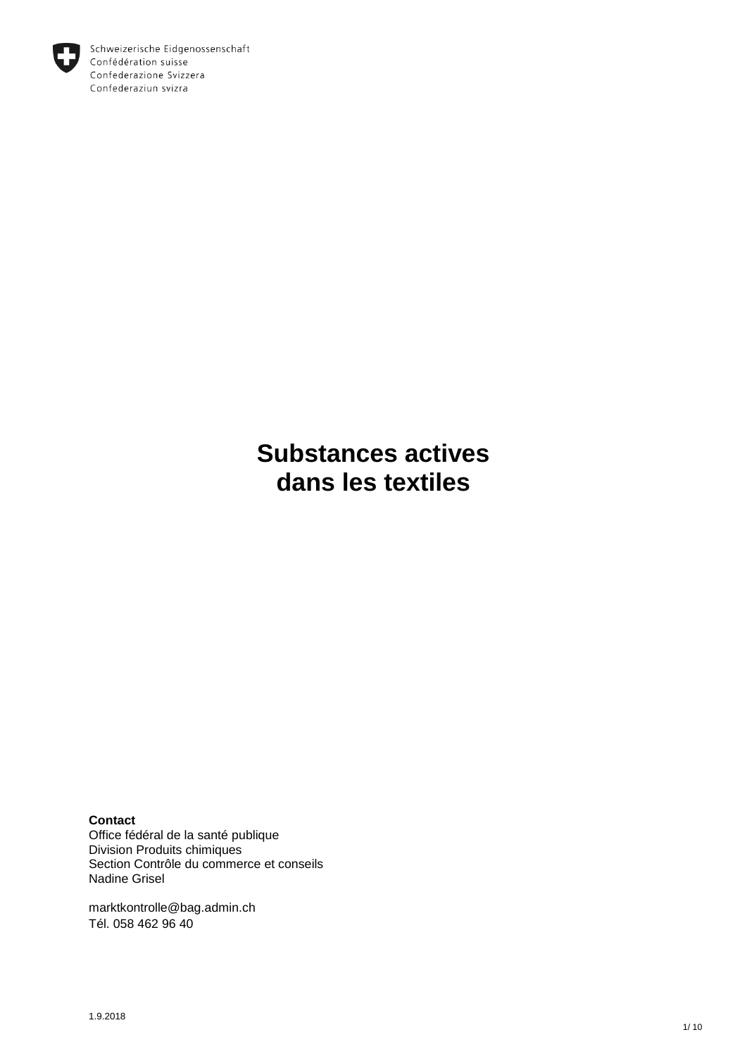

Schweizerische Eidgenossenschaft Confédération suisse Confederazione Svizzera Confederaziun svizra

> **Substances actives dans les textiles**

**Contact** 

Office fédéral de la santé publique Division Produits chimiques Section Contrôle du commerce et conseils Nadine Grisel

marktkontrolle@bag.admin.ch Tél. 058 462 96 40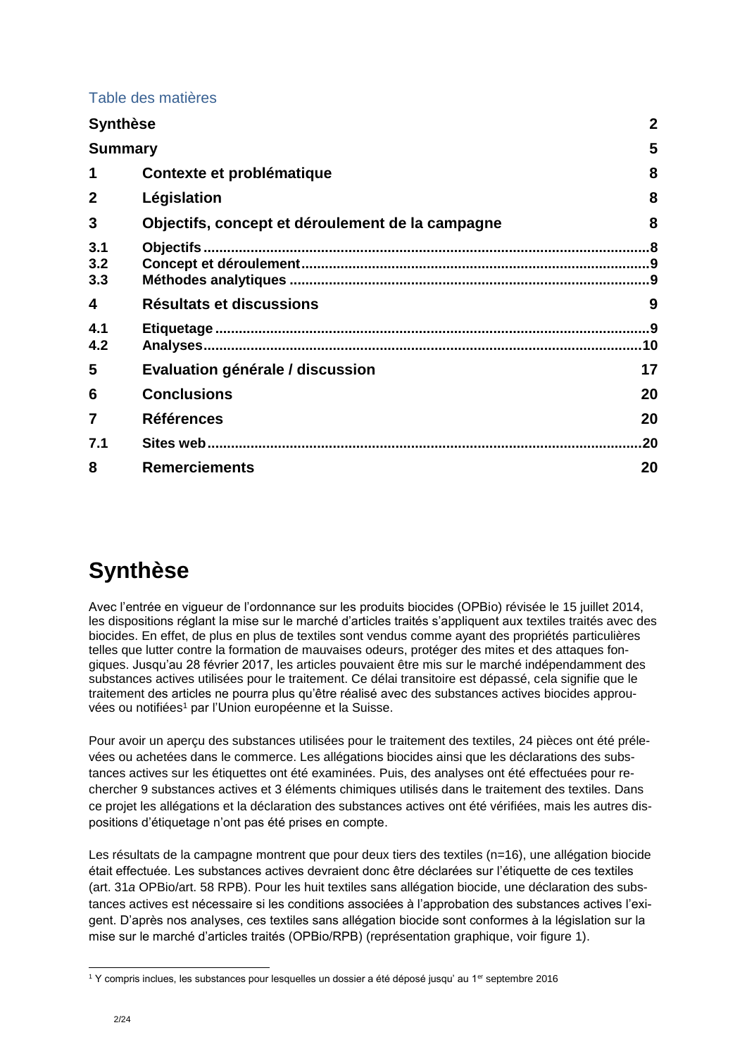#### Table des matières

| <b>Synthèse</b>   |                                                  | $\mathbf 2$ |
|-------------------|--------------------------------------------------|-------------|
| <b>Summary</b>    |                                                  | 5           |
| 1                 | Contexte et problématique                        | 8           |
| $\mathbf{2}$      | Législation                                      | 8           |
| 3                 | Objectifs, concept et déroulement de la campagne | 8           |
| 3.1<br>3.2<br>3.3 |                                                  |             |
| 4                 | Résultats et discussions                         | 9           |
| 4.1<br>4.2        |                                                  | .10         |
| 5                 | Evaluation générale / discussion                 | 17          |
| 6                 | <b>Conclusions</b>                               | 20          |
| 7                 | <b>Références</b>                                | 20          |
| 7.1               |                                                  | 20          |
| 8                 | <b>Remerciements</b>                             | 20          |

# <span id="page-1-0"></span>**Synthèse**

Avec l'entrée en vigueur de l'ordonnance sur les produits biocides (OPBio) révisée le 15 juillet 2014, les dispositions réglant la mise sur le marché d'articles traités s'appliquent aux textiles traités avec des biocides. En effet, de plus en plus de textiles sont vendus comme ayant des propriétés particulières telles que lutter contre la formation de mauvaises odeurs, protéger des mites et des attaques fongiques. Jusqu'au 28 février 2017, les articles pouvaient être mis sur le marché indépendamment des substances actives utilisées pour le traitement. Ce délai transitoire est dépassé, cela signifie que le traitement des articles ne pourra plus qu'être réalisé avec des substances actives biocides approuvées ou notifiées<sup>1</sup> par l'Union européenne et la Suisse.

Pour avoir un aperçu des substances utilisées pour le traitement des textiles, 24 pièces ont été prélevées ou achetées dans le commerce. Les allégations biocides ainsi que les déclarations des substances actives sur les étiquettes ont été examinées. Puis, des analyses ont été effectuées pour rechercher 9 substances actives et 3 éléments chimiques utilisés dans le traitement des textiles. Dans ce projet les allégations et la déclaration des substances actives ont été vérifiées, mais les autres dispositions d'étiquetage n'ont pas été prises en compte.

Les résultats de la campagne montrent que pour deux tiers des textiles (n=16), une allégation biocide était effectuée. Les substances actives devraient donc être déclarées sur l'étiquette de ces textiles (art. 31*a* OPBio/art. 58 RPB). Pour les huit textiles sans allégation biocide, une déclaration des substances actives est nécessaire si les conditions associées à l'approbation des substances actives l'exigent. D'après nos analyses, ces textiles sans allégation biocide sont conformes à la législation sur la mise sur le marché d'articles traités (OPBio/RPB) (représentation graphique, voir figure 1).

<sup>1</sup> <sup>1</sup> Y compris inclues, les substances pour lesquelles un dossier a été déposé jusqu' au 1<sup>er</sup> septembre 2016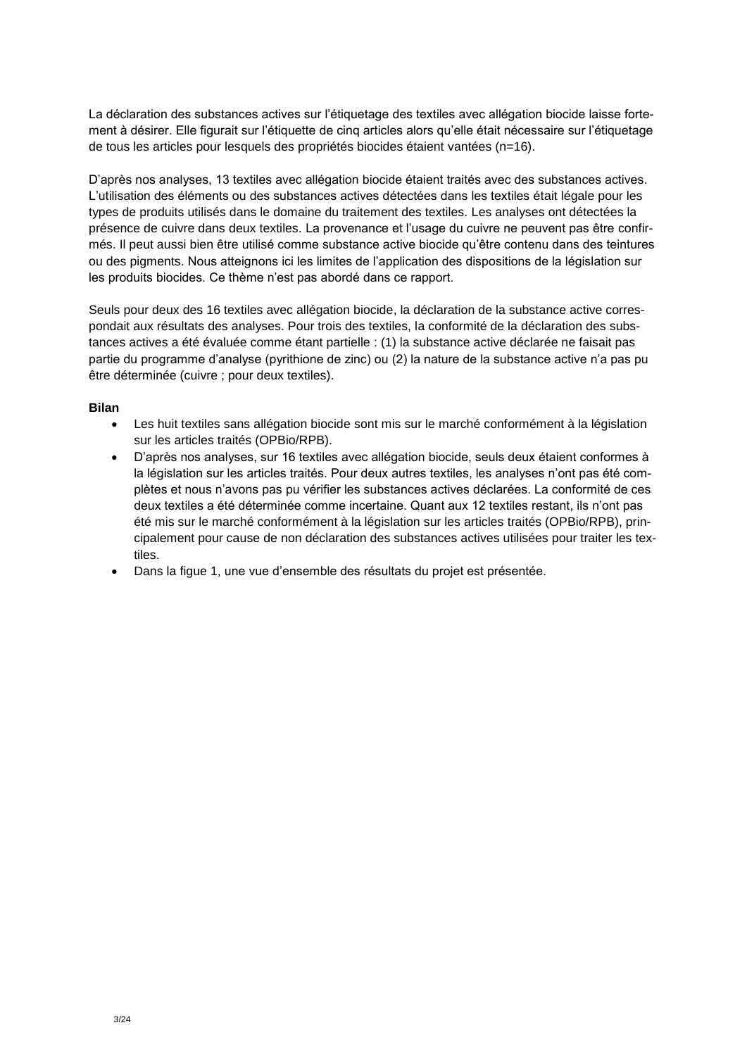La déclaration des substances actives sur l'étiquetage des textiles avec allégation biocide laisse fortement à désirer. Elle figurait sur l'étiquette de cinq articles alors qu'elle était nécessaire sur l'étiquetage de tous les articles pour lesquels des propriétés biocides étaient vantées (n=16).

D'après nos analyses, 13 textiles avec allégation biocide étaient traités avec des substances actives. L'utilisation des éléments ou des substances actives détectées dans les textiles était légale pour les types de produits utilisés dans le domaine du traitement des textiles. Les analyses ont détectées la présence de cuivre dans deux textiles. La provenance et l'usage du cuivre ne peuvent pas être confirmés. Il peut aussi bien être utilisé comme substance active biocide qu'être contenu dans des teintures ou des pigments. Nous atteignons ici les limites de l'application des dispositions de la législation sur les produits biocides. Ce thème n'est pas abordé dans ce rapport.

Seuls pour deux des 16 textiles avec allégation biocide, la déclaration de la substance active correspondait aux résultats des analyses. Pour trois des textiles, la conformité de la déclaration des substances actives a été évaluée comme étant partielle : (1) la substance active déclarée ne faisait pas partie du programme d'analyse (pyrithione de zinc) ou (2) la nature de la substance active n'a pas pu être déterminée (cuivre ; pour deux textiles).

#### **Bilan**

- Les huit textiles sans allégation biocide sont mis sur le marché conformément à la législation sur les articles traités (OPBio/RPB).
- D'après nos analyses, sur 16 textiles avec allégation biocide, seuls deux étaient conformes à la législation sur les articles traités. Pour deux autres textiles, les analyses n'ont pas été complètes et nous n'avons pas pu vérifier les substances actives déclarées. La conformité de ces deux textiles a été déterminée comme incertaine. Quant aux 12 textiles restant, ils n'ont pas été mis sur le marché conformément à la législation sur les articles traités (OPBio/RPB), principalement pour cause de non déclaration des substances actives utilisées pour traiter les textiles.
- Dans la figue 1, une vue d'ensemble des résultats du projet est présentée.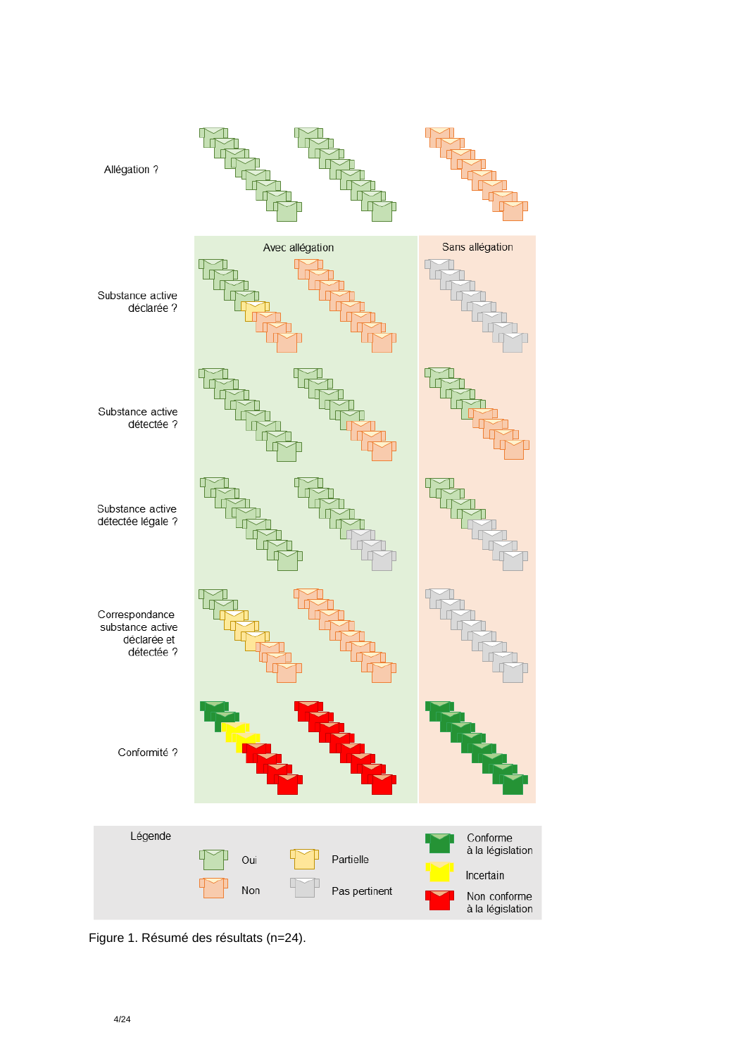

Figure 1. Résumé des résultats (n=24).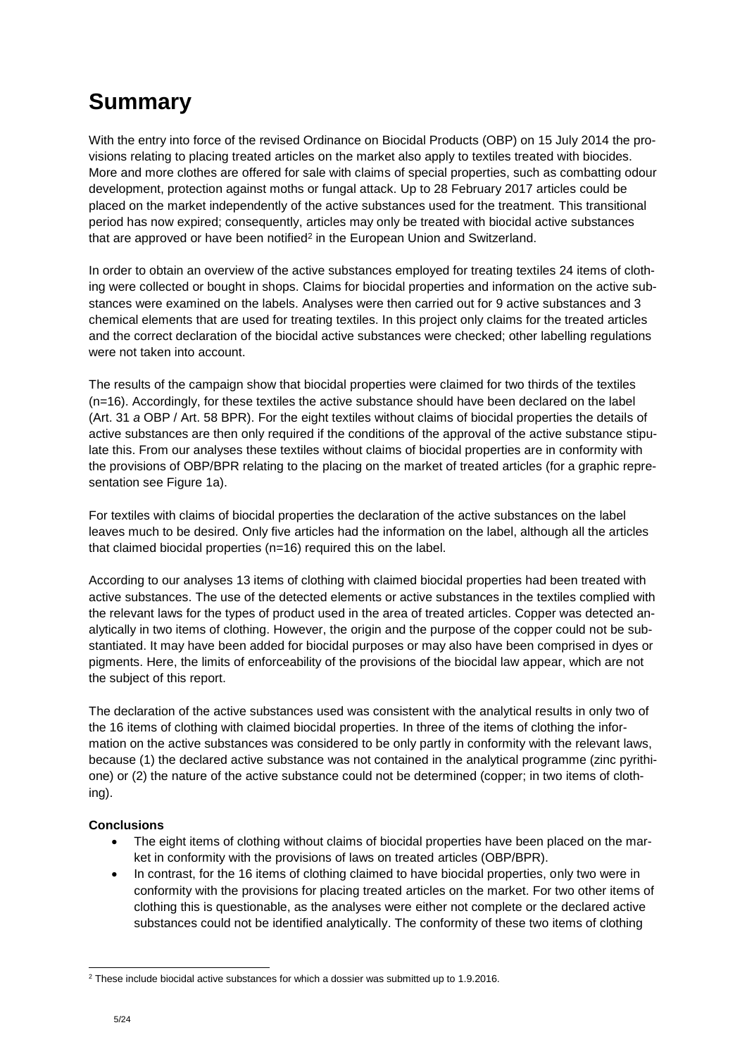# <span id="page-4-0"></span>**Summary**

With the entry into force of the revised Ordinance on Biocidal Products (OBP) on 15 July 2014 the provisions relating to placing treated articles on the market also apply to textiles treated with biocides. More and more clothes are offered for sale with claims of special properties, such as combatting odour development, protection against moths or fungal attack. Up to 28 February 2017 articles could be placed on the market independently of the active substances used for the treatment. This transitional period has now expired; consequently, articles may only be treated with biocidal active substances that are approved or have been notified<sup>2</sup> in the European Union and Switzerland.

In order to obtain an overview of the active substances employed for treating textiles 24 items of clothing were collected or bought in shops. Claims for biocidal properties and information on the active substances were examined on the labels. Analyses were then carried out for 9 active substances and 3 chemical elements that are used for treating textiles. In this project only claims for the treated articles and the correct declaration of the biocidal active substances were checked; other labelling regulations were not taken into account.

The results of the campaign show that biocidal properties were claimed for two thirds of the textiles (n=16). Accordingly, for these textiles the active substance should have been declared on the label (Art. 31 *a* OBP / Art. 58 BPR). For the eight textiles without claims of biocidal properties the details of active substances are then only required if the conditions of the approval of the active substance stipulate this. From our analyses these textiles without claims of biocidal properties are in conformity with the provisions of OBP/BPR relating to the placing on the market of treated articles (for a graphic representation see Figure 1a).

For textiles with claims of biocidal properties the declaration of the active substances on the label leaves much to be desired. Only five articles had the information on the label, although all the articles that claimed biocidal properties (n=16) required this on the label.

According to our analyses 13 items of clothing with claimed biocidal properties had been treated with active substances. The use of the detected elements or active substances in the textiles complied with the relevant laws for the types of product used in the area of treated articles. Copper was detected analytically in two items of clothing. However, the origin and the purpose of the copper could not be substantiated. It may have been added for biocidal purposes or may also have been comprised in dyes or pigments. Here, the limits of enforceability of the provisions of the biocidal law appear, which are not the subject of this report.

The declaration of the active substances used was consistent with the analytical results in only two of the 16 items of clothing with claimed biocidal properties. In three of the items of clothing the information on the active substances was considered to be only partly in conformity with the relevant laws, because (1) the declared active substance was not contained in the analytical programme (zinc pyrithione) or (2) the nature of the active substance could not be determined (copper; in two items of clothing).

#### **Conclusions**

- The eight items of clothing without claims of biocidal properties have been placed on the market in conformity with the provisions of laws on treated articles (OBP/BPR).
- In contrast, for the 16 items of clothing claimed to have biocidal properties, only two were in conformity with the provisions for placing treated articles on the market. For two other items of clothing this is questionable, as the analyses were either not complete or the declared active substances could not be identified analytically. The conformity of these two items of clothing

<sup>1</sup> <sup>2</sup> These include biocidal active substances for which a dossier was submitted up to 1.9.2016.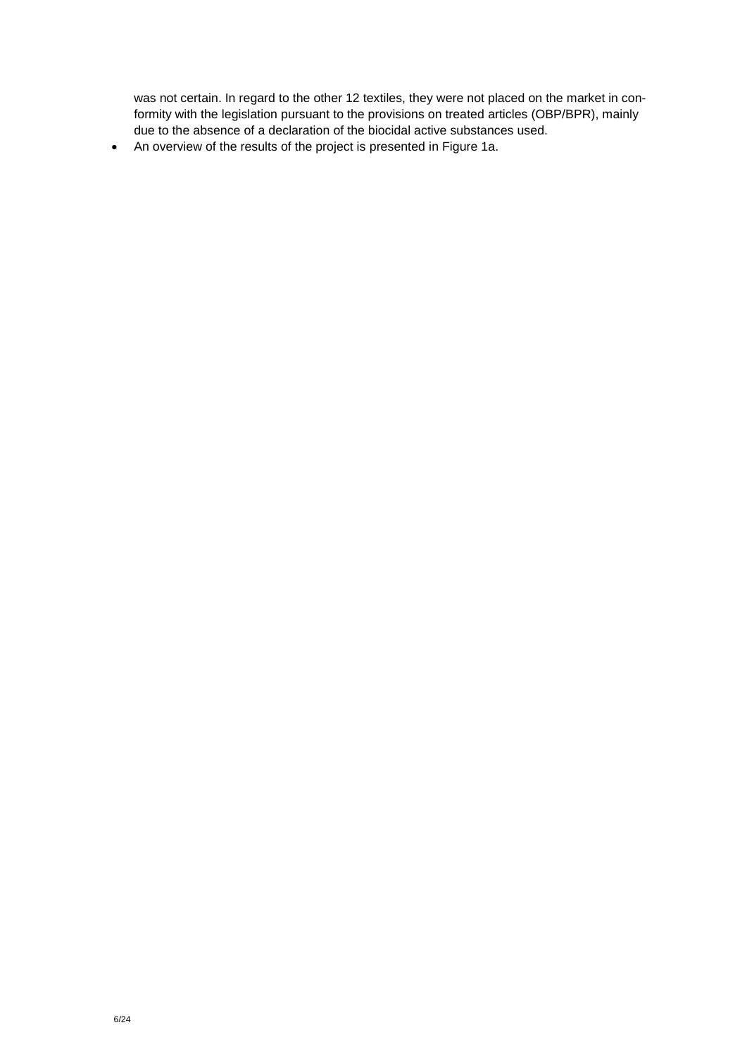was not certain. In regard to the other 12 textiles, they were not placed on the market in conformity with the legislation pursuant to the provisions on treated articles (OBP/BPR), mainly due to the absence of a declaration of the biocidal active substances used.

An overview of the results of the project is presented in Figure 1a.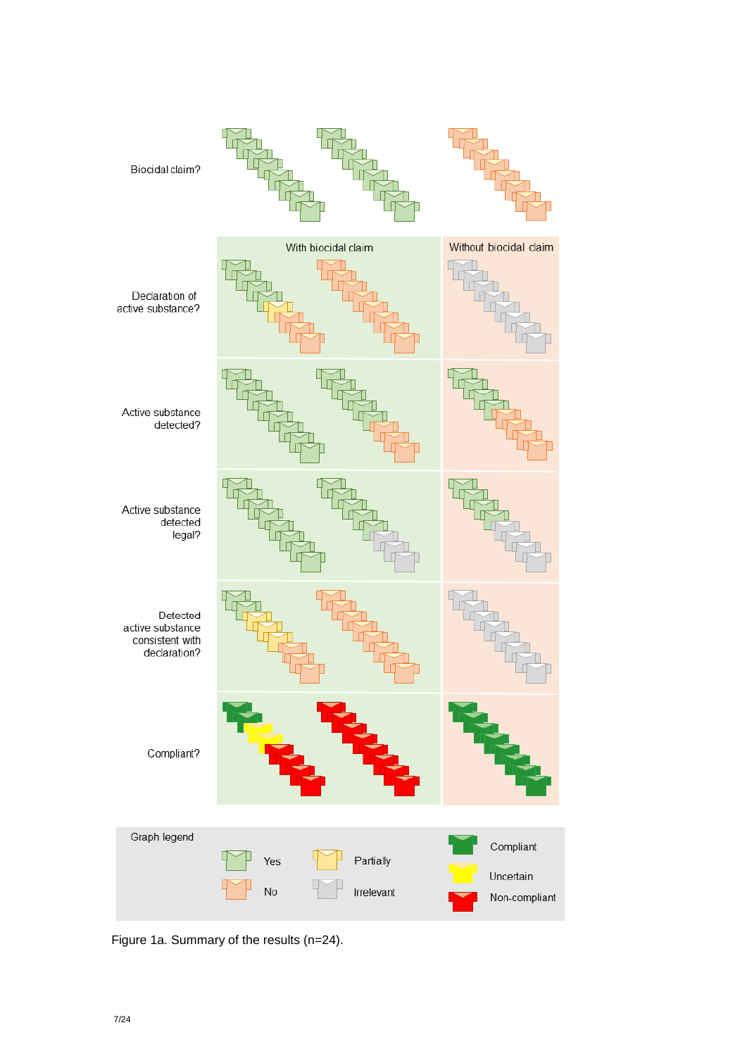

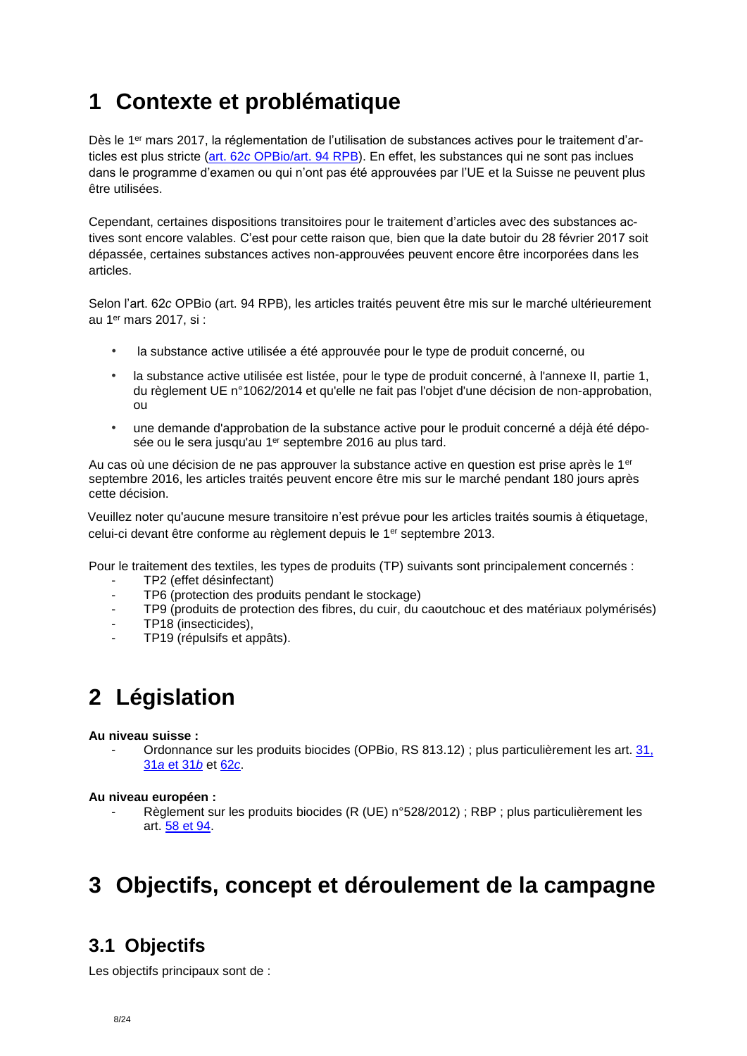# <span id="page-7-0"></span>**1 Contexte et problématique**

Dès le 1<sup>er</sup> mars 2017, la réglementation de l'utilisation de substances actives pour le traitement d'articles est plus stricte (art. 62*c* [OPBio/](https://www.admin.ch/opc/fr/classified-compilation/20021524/index.html#a62c)[art. 94 RPB\)](https://echa.europa.eu/fr/regulations/biocidal-products-regulation/legislation). En effet, les substances qui ne sont pas inclues dans le programme d'examen ou qui n'ont pas été approuvées par l'UE et la Suisse ne peuvent plus être utilisées.

Cependant, certaines dispositions transitoires pour le traitement d'articles avec des substances actives sont encore valables. C'est pour cette raison que, bien que la date butoir du 28 février 2017 soit dépassée, certaines substances actives non-approuvées peuvent encore être incorporées dans les articles.

Selon l'art. 62*c* OPBio (art. 94 RPB), les articles traités peuvent être mis sur le marché ultérieurement au 1er mars 2017, si :

- la substance active utilisée a été approuvée pour le type de produit concerné, ou
- la substance active utilisée est listée, pour le type de produit concerné, à l'annexe II, partie 1, du règlement UE n°1062/2014 et qu'elle ne fait pas l'objet d'une décision de non-approbation, ou
- une demande d'approbation de la substance active pour le produit concerné a déjà été déposée ou le sera jusqu'au 1<sup>er</sup> septembre 2016 au plus tard.

Au cas où une décision de ne pas approuver la substance active en question est prise après le 1<sup>er</sup> septembre 2016, les articles traités peuvent encore être mis sur le marché pendant 180 jours après cette décision.

Veuillez noter qu'aucune mesure transitoire n'est prévue pour les articles traités soumis à étiquetage, celui-ci devant être conforme au règlement depuis le 1er septembre 2013.

Pour le traitement des textiles, les types de produits (TP) suivants sont principalement concernés :

- TP2 (effet désinfectant)
- TP6 (protection des produits pendant le stockage)
- TP9 (produits de protection des fibres, du cuir, du caoutchouc et des matériaux polymérisés)
- TP18 (insecticides),
- <span id="page-7-1"></span>TP19 (répulsifs et appâts).

# **2 Législation**

#### **Au niveau suisse :**

Ordonnance sur les produits biocides (OPBio, RS 813.12) ; plus particulièrement les art. 31, 31*a* [et 31](https://www.admin.ch/opc/fr/classified-compilation/20021524/index.html#a31)*b* et [62](https://www.admin.ch/opc/fr/classified-compilation/20021524/index.html#a62c)*c*.

#### **Au niveau européen :**

Règlement sur les produits biocides (R (UE) n°528/2012) ; RBP ; plus particulièrement les art. [58 et 94.](https://echa.europa.eu/fr/regulations/biocidal-products-regulation/legislation)

# <span id="page-7-2"></span>**3 Objectifs, concept et déroulement de la campagne**

## <span id="page-7-3"></span>**3.1 Objectifs**

Les objectifs principaux sont de :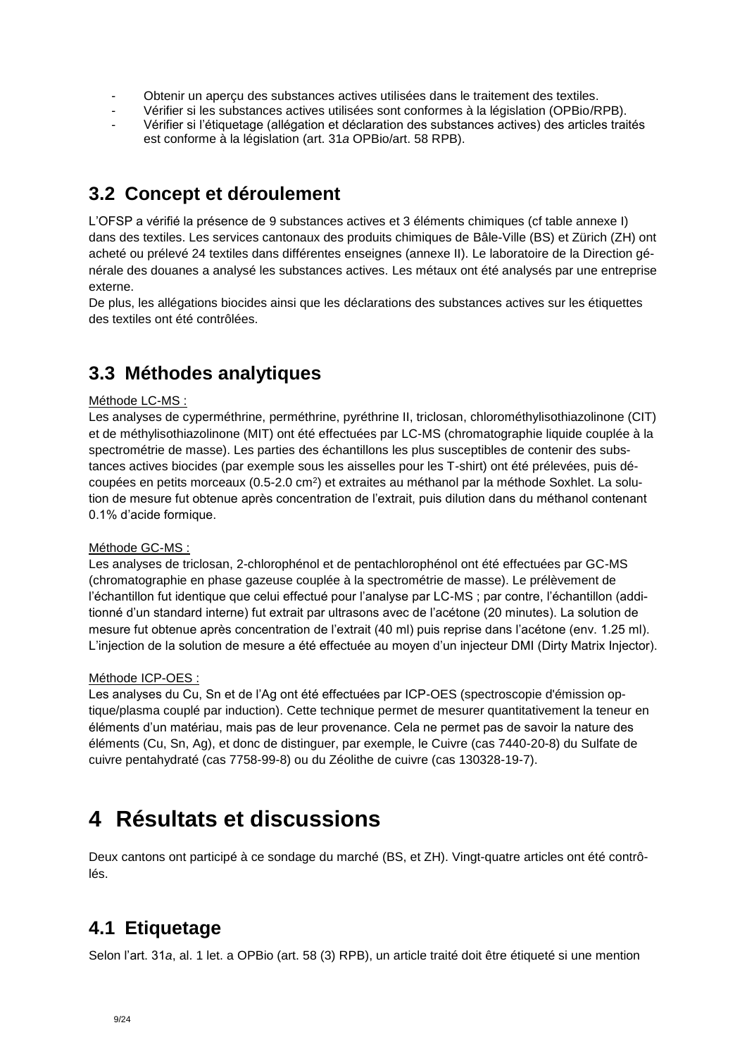- Obtenir un aperçu des substances actives utilisées dans le traitement des textiles.
- Vérifier si les substances actives utilisées sont conformes à la législation (OPBio/RPB).
- Vérifier si l'étiquetage (allégation et déclaration des substances actives) des articles traités est conforme à la législation (art. 31*a* OPBio/art. 58 RPB).

## <span id="page-8-0"></span>**3.2 Concept et déroulement**

L'OFSP a vérifié la présence de 9 substances actives et 3 éléments chimiques (cf table annexe I) dans des textiles. Les services cantonaux des produits chimiques de Bâle-Ville (BS) et Zürich (ZH) ont acheté ou prélevé 24 textiles dans différentes enseignes (annexe II). Le laboratoire de la Direction générale des douanes a analysé les substances actives. Les métaux ont été analysés par une entreprise externe.

<span id="page-8-1"></span>De plus, les allégations biocides ainsi que les déclarations des substances actives sur les étiquettes des textiles ont été contrôlées.

## **3.3 Méthodes analytiques**

#### Méthode LC-MS :

Les analyses de cyperméthrine, perméthrine, pyréthrine II, triclosan, chlorométhylisothiazolinone (CIT) et de méthylisothiazolinone (MIT) ont été effectuées par LC-MS (chromatographie liquide couplée à la spectrométrie de masse). Les parties des échantillons les plus susceptibles de contenir des substances actives biocides (par exemple sous les aisselles pour les T-shirt) ont été prélevées, puis découpées en petits morceaux (0.5-2.0 cm<sup>2</sup>) et extraites au méthanol par la méthode Soxhlet. La solution de mesure fut obtenue après concentration de l'extrait, puis dilution dans du méthanol contenant 0.1% d'acide formique.

#### Méthode GC-MS :

Les analyses de triclosan, 2-chlorophénol et de pentachlorophénol ont été effectuées par GC-MS (chromatographie en phase gazeuse couplée à la spectrométrie de masse). Le prélèvement de l'échantillon fut identique que celui effectué pour l'analyse par LC-MS ; par contre, l'échantillon (additionné d'un standard interne) fut extrait par ultrasons avec de l'acétone (20 minutes). La solution de mesure fut obtenue après concentration de l'extrait (40 ml) puis reprise dans l'acétone (env. 1.25 ml). L'injection de la solution de mesure a été effectuée au moyen d'un injecteur DMI (Dirty Matrix Injector).

#### Méthode ICP-OES :

Les analyses du Cu, Sn et de l'Ag ont été effectuées par ICP-OES (spectroscopie d'émission optique/plasma couplé par induction). Cette technique permet de mesurer quantitativement la teneur en éléments d'un matériau, mais pas de leur provenance. Cela ne permet pas de savoir la nature des éléments (Cu, Sn, Ag), et donc de distinguer, par exemple, le Cuivre (cas 7440-20-8) du Sulfate de cuivre pentahydraté (cas 7758-99-8) ou du Zéolithe de cuivre (cas 130328-19-7).

## <span id="page-8-2"></span>**4 Résultats et discussions**

<span id="page-8-3"></span>Deux cantons ont participé à ce sondage du marché (BS, et ZH). Vingt-quatre articles ont été contrôlés.

### **4.1 Etiquetage**

Selon l'art. 31*a*, al. 1 let. a OPBio (art. 58 (3) RPB), un article traité doit être étiqueté si une mention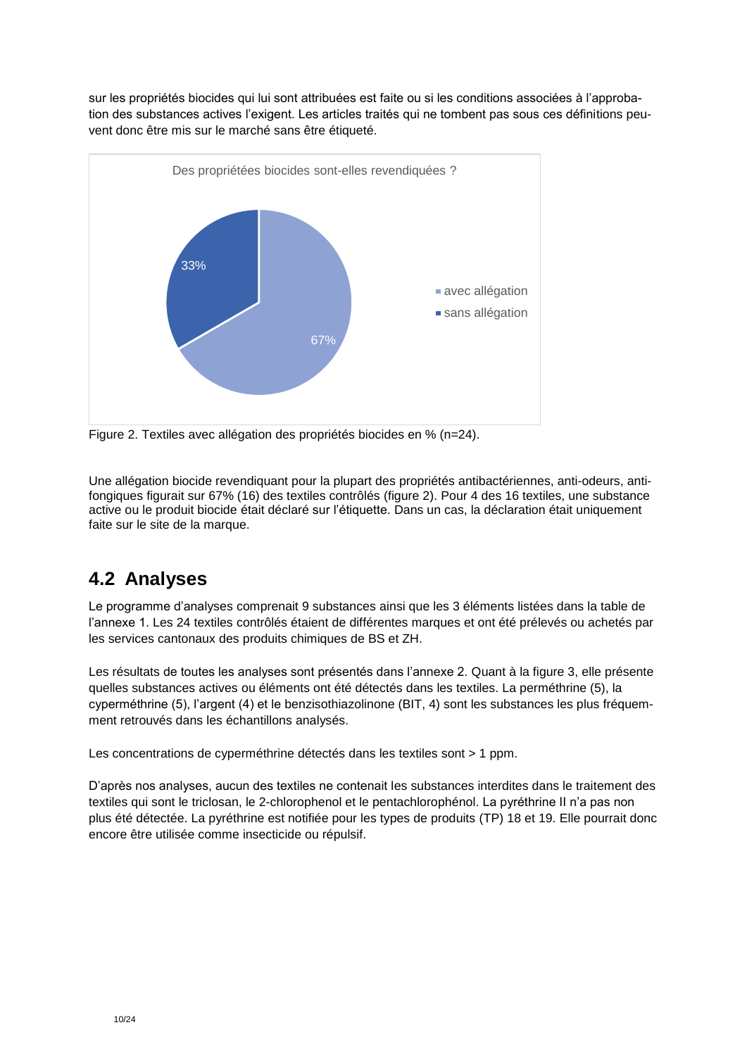sur les propriétés biocides qui lui sont attribuées est faite ou si les conditions associées à l'approbation des substances actives l'exigent. Les articles traités qui ne tombent pas sous ces définitions peuvent donc être mis sur le marché sans être étiqueté.



Figure 2. Textiles avec allégation des propriétés biocides en % (n=24).

Une allégation biocide revendiquant pour la plupart des propriétés antibactériennes, anti-odeurs, antifongiques figurait sur 67% (16) des textiles contrôlés (figure 2). Pour 4 des 16 textiles, une substance active ou le produit biocide était déclaré sur l'étiquette. Dans un cas, la déclaration était uniquement faite sur le site de la marque.

## <span id="page-9-0"></span>**4.2 Analyses**

Le programme d'analyses comprenait 9 substances ainsi que les 3 éléments listées dans la table de l'annexe 1. Les 24 textiles contrôlés étaient de différentes marques et ont été prélevés ou achetés par les services cantonaux des produits chimiques de BS et ZH.

Les résultats de toutes les analyses sont présentés dans l'annexe 2. Quant à la figure 3, elle présente quelles substances actives ou éléments ont été détectés dans les textiles. La perméthrine (5), la cyperméthrine (5), l'argent (4) et le benzisothiazolinone (BIT, 4) sont les substances les plus fréquemment retrouvés dans les échantillons analysés.

Les concentrations de cyperméthrine détectés dans les textiles sont > 1 ppm.

D'après nos analyses, aucun des textiles ne contenait les substances interdites dans le traitement des textiles qui sont le triclosan, le 2-chlorophenol et le pentachlorophénol. La pyréthrine II n'a pas non plus été détectée. La pyréthrine est notifiée pour les types de produits (TP) 18 et 19. Elle pourrait donc encore être utilisée comme insecticide ou répulsif.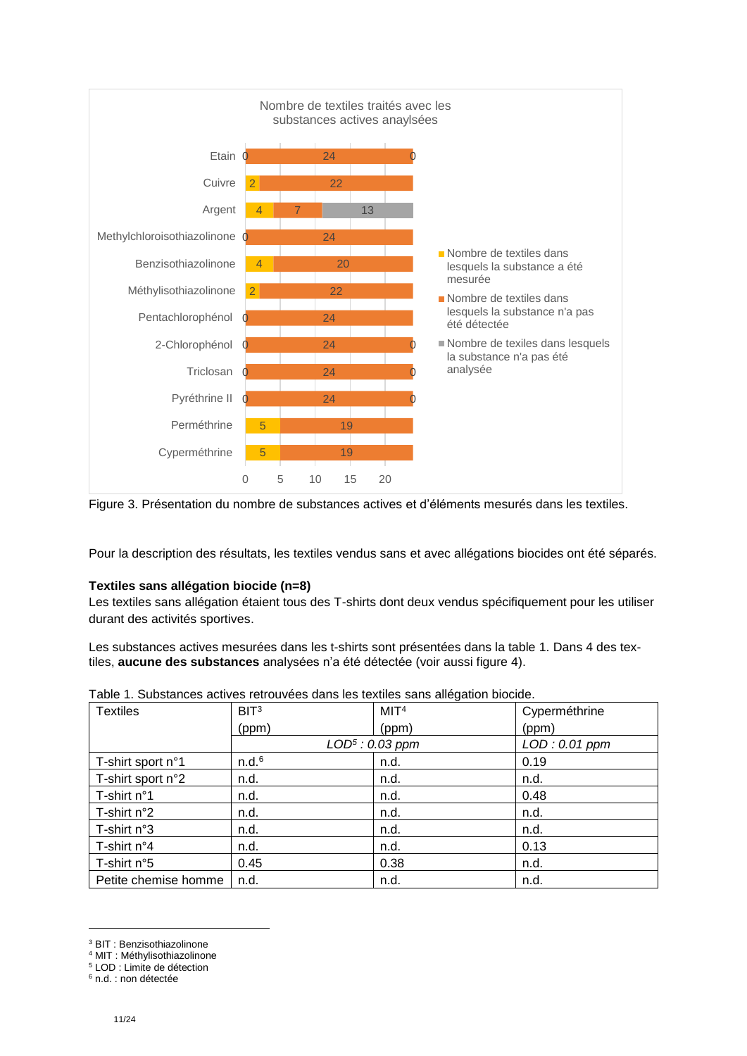

Figure 3. Présentation du nombre de substances actives et d'éléments mesurés dans les textiles.

Pour la description des résultats, les textiles vendus sans et avec allégations biocides ont été séparés.

#### **Textiles sans allégation biocide (n=8)**

Les textiles sans allégation étaient tous des T-shirts dont deux vendus spécifiquement pour les utiliser durant des activités sportives.

Les substances actives mesurées dans les t-shirts sont présentées dans la table 1. Dans 4 des textiles, **aucune des substances** analysées n'a été détectée (voir aussi figure 4).

| <b>Textiles</b>      | BIT <sup>3</sup>  | MIT <sup>4</sup>  | Cyperméthrine |
|----------------------|-------------------|-------------------|---------------|
|                      | (ppm)             | (ppm)             | (ppm)         |
|                      |                   | $LOD5$ : 0.03 ppm | LOD: 0.01 ppm |
| T-shirt sport n°1    | n.d. <sup>6</sup> | n.d.              | 0.19          |
| T-shirt sport n°2    | n.d.              | n.d.              | n.d.          |
| T-shirt n°1          | n.d.              | n.d.              | 0.48          |
| T-shirt n°2          | n.d.              | n.d.              | n.d.          |
| T-shirt n°3          | n.d.              | n.d.              | n.d.          |
| T-shirt $n^{\circ}4$ | n.d.              | n.d.              | 0.13          |
| T-shirt n°5          | 0.45              | 0.38              | n.d.          |
| Petite chemise homme | n.d.              | n.d.              | n.d.          |

|  | Table 1. Substances actives retrouvées dans les textiles sans allégation biocide. |  |  |  |  |
|--|-----------------------------------------------------------------------------------|--|--|--|--|
|  |                                                                                   |  |  |  |  |

-

<sup>3</sup> BIT : Benzisothiazolinone

<sup>4</sup> MIT : Méthylisothiazolinone

<sup>&</sup>lt;sup>5</sup> LOD : Limite de détection

<sup>6</sup> n.d. : non détectée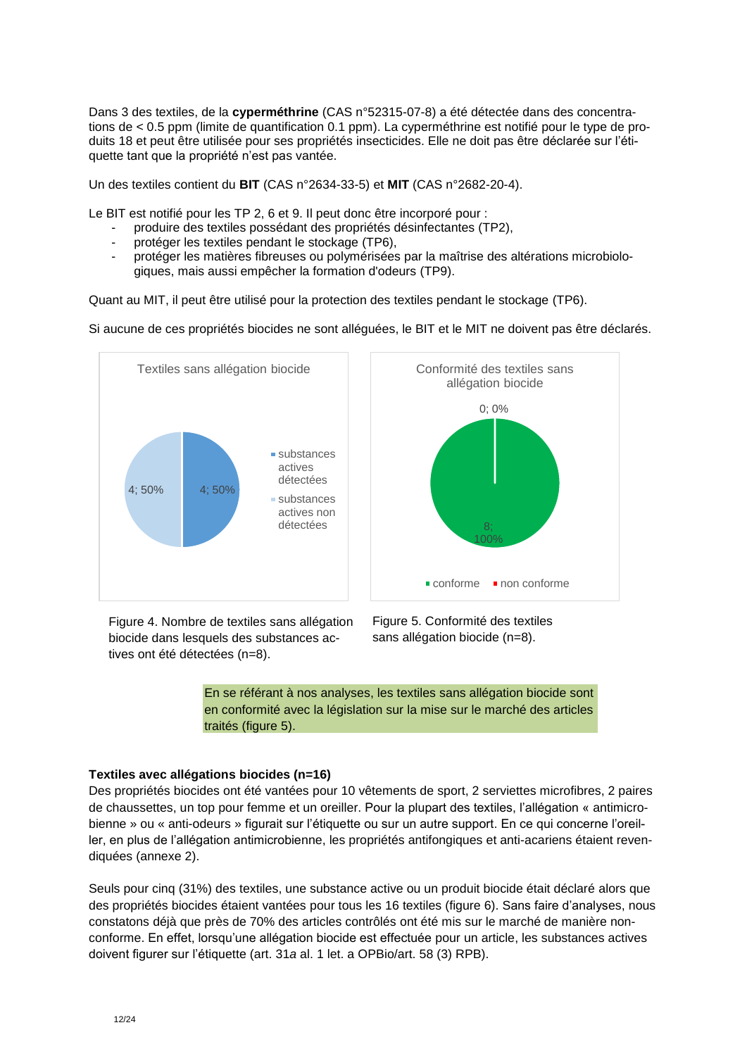Dans 3 des textiles, de la **cyperméthrine** (CAS n°52315-07-8) a été détectée dans des concentrations de < 0.5 ppm (limite de quantification 0.1 ppm). La cyperméthrine est notifié pour le type de produits 18 et peut être utilisée pour ses propriétés insecticides. Elle ne doit pas être déclarée sur l'étiquette tant que la propriété n'est pas vantée.

Un des textiles contient du **BIT** (CAS n°2634-33-5) et **MIT** (CAS n°2682-20-4).

Le BIT est notifié pour les TP 2, 6 et 9. Il peut donc être incorporé pour :

- produire des textiles possédant des propriétés désinfectantes (TP2),
- protéger les textiles pendant le stockage (TP6),
- protéger les matières fibreuses ou polymérisées par la maîtrise des altérations microbiologiques, mais aussi empêcher la formation d'odeurs (TP9).

Quant au MIT, il peut être utilisé pour la protection des textiles pendant le stockage (TP6).

Si aucune de ces propriétés biocides ne sont alléguées, le BIT et le MIT ne doivent pas être déclarés.



Figure 4. Nombre de textiles sans allégation biocide dans lesquels des substances actives ont été détectées (n=8).

Figure 5. Conformité des textiles sans allégation biocide (n=8).

En se référant à nos analyses, les textiles sans allégation biocide sont en conformité avec la législation sur la mise sur le marché des articles traités (figure 5).

#### **Textiles avec allégations biocides (n=16)**

Des propriétés biocides ont été vantées pour 10 vêtements de sport, 2 serviettes microfibres, 2 paires de chaussettes, un top pour femme et un oreiller. Pour la plupart des textiles, l'allégation « antimicrobienne » ou « anti-odeurs » figurait sur l'étiquette ou sur un autre support. En ce qui concerne l'oreiller, en plus de l'allégation antimicrobienne, les propriétés antifongiques et anti-acariens étaient revendiquées (annexe 2).

Seuls pour cinq (31%) des textiles, une substance active ou un produit biocide était déclaré alors que des propriétés biocides étaient vantées pour tous les 16 textiles (figure 6). Sans faire d'analyses, nous constatons déjà que près de 70% des articles contrôlés ont été mis sur le marché de manière nonconforme. En effet, lorsqu'une allégation biocide est effectuée pour un article, les substances actives doivent figurer sur l'étiquette (art. 31*a* al. 1 let. a OPBio/art. 58 (3) RPB).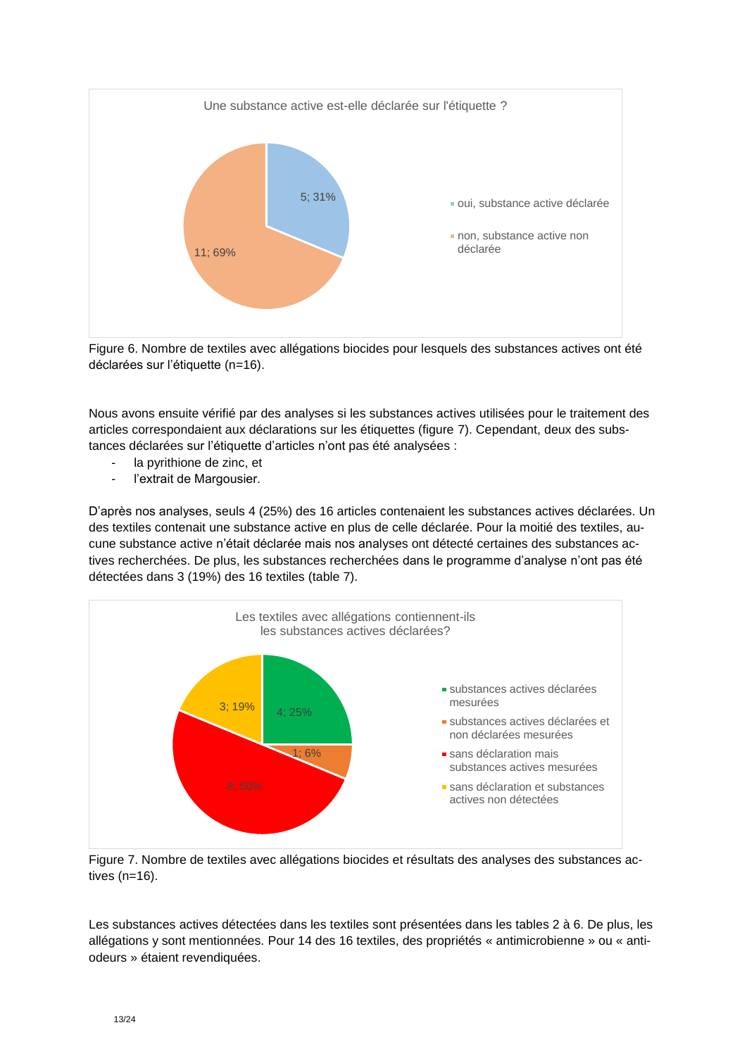

Figure 6. Nombre de textiles avec allégations biocides pour lesquels des substances actives ont été déclarées sur l'étiquette (n=16).

Nous avons ensuite vérifié par des analyses si les substances actives utilisées pour le traitement des articles correspondaient aux déclarations sur les étiquettes (figure 7). Cependant, deux des substances déclarées sur l'étiquette d'articles n'ont pas été analysées :

- la pyrithione de zinc, et
- l'extrait de Margousier.

D'après nos analyses, seuls 4 (25%) des 16 articles contenaient les substances actives déclarées. Un des textiles contenait une substance active en plus de celle déclarée. Pour la moitié des textiles, aucune substance active n'était déclarée mais nos analyses ont détecté certaines des substances actives recherchées. De plus, les substances recherchées dans le programme d'analyse n'ont pas été détectées dans 3 (19%) des 16 textiles (table 7).



Figure 7. Nombre de textiles avec allégations biocides et résultats des analyses des substances actives (n=16).

Les substances actives détectées dans les textiles sont présentées dans les tables 2 à 6. De plus, les allégations y sont mentionnées. Pour 14 des 16 textiles, des propriétés « antimicrobienne » ou « antiodeurs » étaient revendiquées.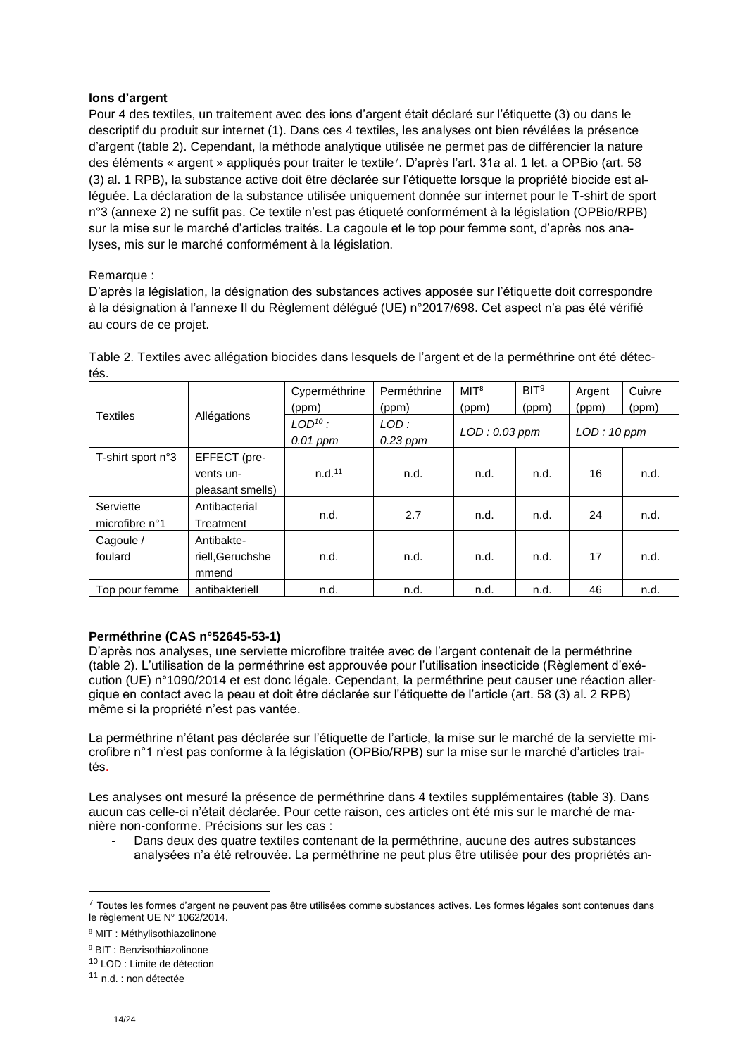#### **Ions d'argent**

Pour 4 des textiles, un traitement avec des ions d'argent était déclaré sur l'étiquette (3) ou dans le descriptif du produit sur internet (1). Dans ces 4 textiles, les analyses ont bien révélées la présence d'argent (table 2). Cependant, la méthode analytique utilisée ne permet pas de différencier la nature des éléments « argent » appliqués pour traiter le textile<sup>7</sup> . D'après l'art. 31*a* al. 1 let. a OPBio (art. 58 (3) al. 1 RPB), la substance active doit être déclarée sur l'étiquette lorsque la propriété biocide est alléguée. La déclaration de la substance utilisée uniquement donnée sur internet pour le T-shirt de sport n°3 (annexe 2) ne suffit pas. Ce textile n'est pas étiqueté conformément à la législation (OPBio/RPB) sur la mise sur le marché d'articles traités. La cagoule et le top pour femme sont, d'après nos analyses, mis sur le marché conformément à la législation.

#### Remarque :

D'après la législation, la désignation des substances actives apposée sur l'étiquette doit correspondre à la désignation à l'annexe II du Règlement délégué (UE) n°2017/698. Cet aspect n'a pas été vérifié au cours de ce projet.

|                             |                                               | Cyperméthrine<br>(ppm)     | Perméthrine<br>(ppm) | MI <sup>8</sup><br>(ppm) | BIT <sup>9</sup><br>(ppm) | Argent<br>(ppm) | Cuivre<br>(ppm) |
|-----------------------------|-----------------------------------------------|----------------------------|----------------------|--------------------------|---------------------------|-----------------|-----------------|
| <b>Textiles</b>             | Allégations                                   | $LOD^{10}$ :<br>$0.01$ ppm | LOD:<br>$0.23$ ppm   | LOD: 0.03 ppm            |                           | LOD: 10 ppm     |                 |
| T-shirt sport n°3           | EFFECT (pre-<br>vents un-<br>pleasant smells) | n.d. <sup>11</sup>         | n.d.                 | n.d.                     | n.d.                      | 16              | n.d.            |
| Serviette<br>microfibre n°1 | Antibacterial<br>Treatment                    | n.d.                       | 2.7                  | n.d.                     | n.d.                      | 24              | n.d.            |
| Cagoule /<br>foulard        | Antibakte-<br>riell, Geruchshe<br>mmend       | n.d.                       | n.d.                 | n.d.                     | n.d.                      | 17              | n.d.            |
| Top pour femme              | antibakteriell                                | n.d.                       | n.d.                 | n.d.                     | n.d.                      | 46              | n.d.            |

Table 2. Textiles avec allégation biocides dans lesquels de l'argent et de la perméthrine ont été détectés.

#### **Perméthrine (CAS n°52645-53-1)**

D'après nos analyses, une serviette microfibre traitée avec de l'argent contenait de la perméthrine (table 2). L'utilisation de la perméthrine est approuvée pour l'utilisation insecticide (Règlement d'exécution (UE) n°1090/2014 et est donc légale. Cependant, la perméthrine peut causer une réaction allergique en contact avec la peau et doit être déclarée sur l'étiquette de l'article (art. 58 (3) al. 2 RPB) même si la propriété n'est pas vantée.

La perméthrine n'étant pas déclarée sur l'étiquette de l'article, la mise sur le marché de la serviette microfibre n°1 n'est pas conforme à la législation (OPBio/RPB) sur la mise sur le marché d'articles traités.

Les analyses ont mesuré la présence de perméthrine dans 4 textiles supplémentaires (table 3). Dans aucun cas celle-ci n'était déclarée. Pour cette raison, ces articles ont été mis sur le marché de manière non-conforme. Précisions sur les cas :

Dans deux des quatre textiles contenant de la perméthrine, aucune des autres substances analysées n'a été retrouvée. La perméthrine ne peut plus être utilisée pour des propriétés an-

<sup>&</sup>lt;sup>7</sup> Toutes les formes d'argent ne peuvent pas être utilisées comme substances actives. Les formes légales sont contenues dans le règlement UE N° 1062/2014.

<sup>8</sup> MIT : Méthylisothiazolinone

<sup>9</sup> BIT : Benzisothiazolinone

<sup>10</sup> LOD : Limite de détection

<sup>11</sup> n.d. : non détectée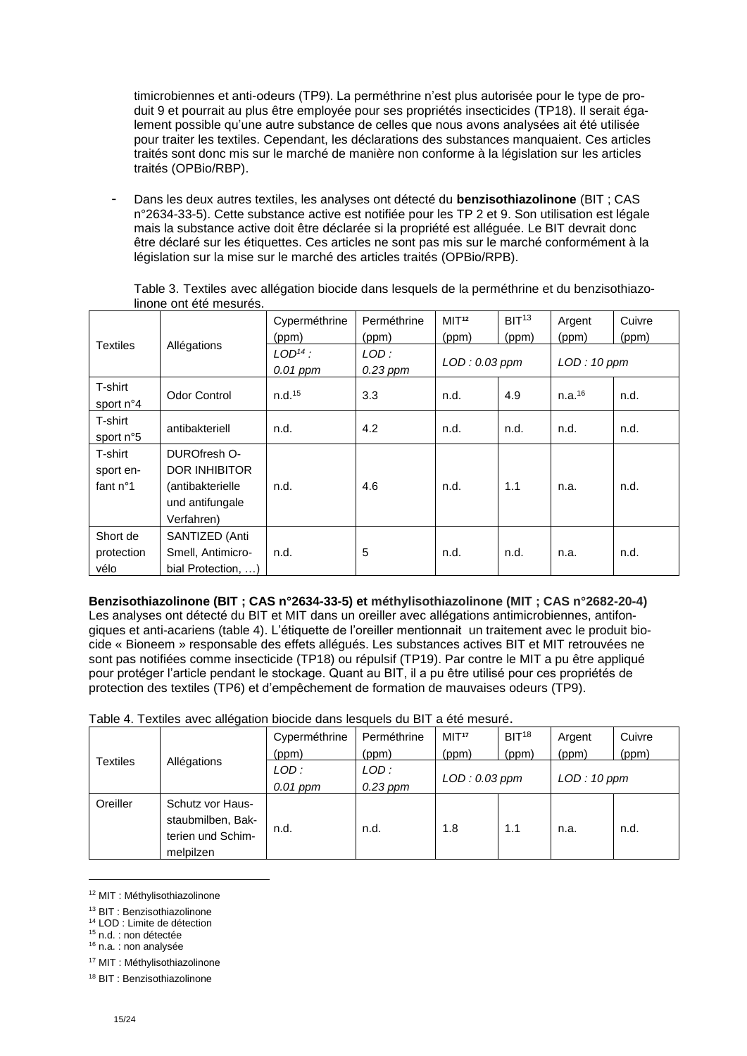timicrobiennes et anti-odeurs (TP9). La perméthrine n'est plus autorisée pour le type de produit 9 et pourrait au plus être employée pour ses propriétés insecticides (TP18). Il serait également possible qu'une autre substance de celles que nous avons analysées ait été utilisée pour traiter les textiles. Cependant, les déclarations des substances manquaient. Ces articles traités sont donc mis sur le marché de manière non conforme à la législation sur les articles traités (OPBio/RBP).

- Dans les deux autres textiles, les analyses ont détecté du **benzisothiazolinone** (BIT ; CAS n°2634-33-5). Cette substance active est notifiée pour les TP 2 et 9. Son utilisation est légale mais la substance active doit être déclarée si la propriété est alléguée. Le BIT devrait donc être déclaré sur les étiquettes. Ces articles ne sont pas mis sur le marché conformément à la législation sur la mise sur le marché des articles traités (OPBio/RPB).

|                   |                     | Cyperméthrine      | Perméthrine | MIT <sup>12</sup> | BIT <sup>13</sup> | Argent             | Cuivre |
|-------------------|---------------------|--------------------|-------------|-------------------|-------------------|--------------------|--------|
|                   |                     | (ppm)              | (ppm)       | (ppm)             | (ppm)             | (ppm)              | (ppm)  |
| <b>Textiles</b>   | Allégations         | $LOD14$ :          | LOD:        | LOD: 0.03 ppm     |                   | LOD: 10 ppm        |        |
|                   |                     | $0.01$ ppm         | $0.23$ ppm  |                   |                   |                    |        |
| T-shirt           |                     |                    |             |                   |                   |                    |        |
| sport n°4         | <b>Odor Control</b> | n.d. <sup>15</sup> | 3.3         | n.d.              | 4.9               | n.a. <sup>16</sup> | n.d.   |
| T-shirt           |                     |                    |             |                   |                   |                    |        |
| sport n°5         | antibakteriell      | n.d.               | 4.2         | n.d.              | n.d.              | n.d.               | n.d.   |
| T-shirt           | DUROfresh O-        |                    |             |                   |                   |                    |        |
| sport en-         | DOR INHIBITOR       |                    |             |                   |                   |                    |        |
| fant $n^{\circ}1$ | (antibakterielle    | n.d.               | 4.6         | n.d.              | 1.1               | n.a.               | n.d.   |
|                   | und antifungale     |                    |             |                   |                   |                    |        |
|                   | Verfahren)          |                    |             |                   |                   |                    |        |
| Short de          | SANTIZED (Anti      |                    |             |                   |                   |                    |        |
| protection        | Smell, Antimicro-   | n.d.               | 5           | n.d.              | n.d.              | n.a.               | n.d.   |
| vélo              | bial Protection, )  |                    |             |                   |                   |                    |        |

Table 3. Textiles avec allégation biocide dans lesquels de la perméthrine et du benzisothiazolinone ont été mesurés.

**Benzisothiazolinone (BIT ; CAS n°2634-33-5) et méthylisothiazolinone (MIT ; CAS n°2682-20-4)** Les analyses ont détecté du BIT et MIT dans un oreiller avec allégations antimicrobiennes, antifongiques et anti-acariens (table 4). L'étiquette de l'oreiller mentionnait un traitement avec le produit biocide « Bioneem » responsable des effets allégués. Les substances actives BIT et MIT retrouvées ne sont pas notifiées comme insecticide (TP18) ou répulsif (TP19). Par contre le MIT a pu être appliqué pour protéger l'article pendant le stockage. Quant au BIT, il a pu être utilisé pour ces propriétés de protection des textiles (TP6) et d'empêchement de formation de mauvaises odeurs (TP9).

|           |                   | Cyperméthrine | Perméthrine | MI <sup>17</sup> | BIT <sup>18</sup>            | Argent | Cuivre |
|-----------|-------------------|---------------|-------------|------------------|------------------------------|--------|--------|
| Textiles  |                   | (ppm)         | (ppm)       | (ppm)            | (ppm)                        | (ppm)  | (ppm)  |
|           | Allégations       | $LOD$ :       | LOD:        |                  | LOD: 0.03 ppm<br>LOD: 10 ppm |        |        |
|           |                   | $0.01$ ppm    | $0.23$ ppm  |                  |                              |        |        |
| Oreiller  | Schutz vor Haus-  |               |             |                  |                              |        |        |
|           | staubmilben, Bak- | n.d.          | n.d.        | 1.8              | 1.1                          | n.a.   | n.d.   |
|           | terien und Schim- |               |             |                  |                              |        |        |
| melpilzen |                   |               |             |                  |                              |        |        |

<sup>12</sup> MIT : Méthylisothiazolinone

<sup>15</sup> n.d. : non détectée <sup>16</sup> n.a. : non analysée

1

<sup>17</sup> MIT : Méthylisothiazolinone

<sup>13</sup> BIT : Benzisothiazolinone

<sup>14</sup> LOD : Limite de détection

<sup>18</sup> BIT : Benzisothiazolinone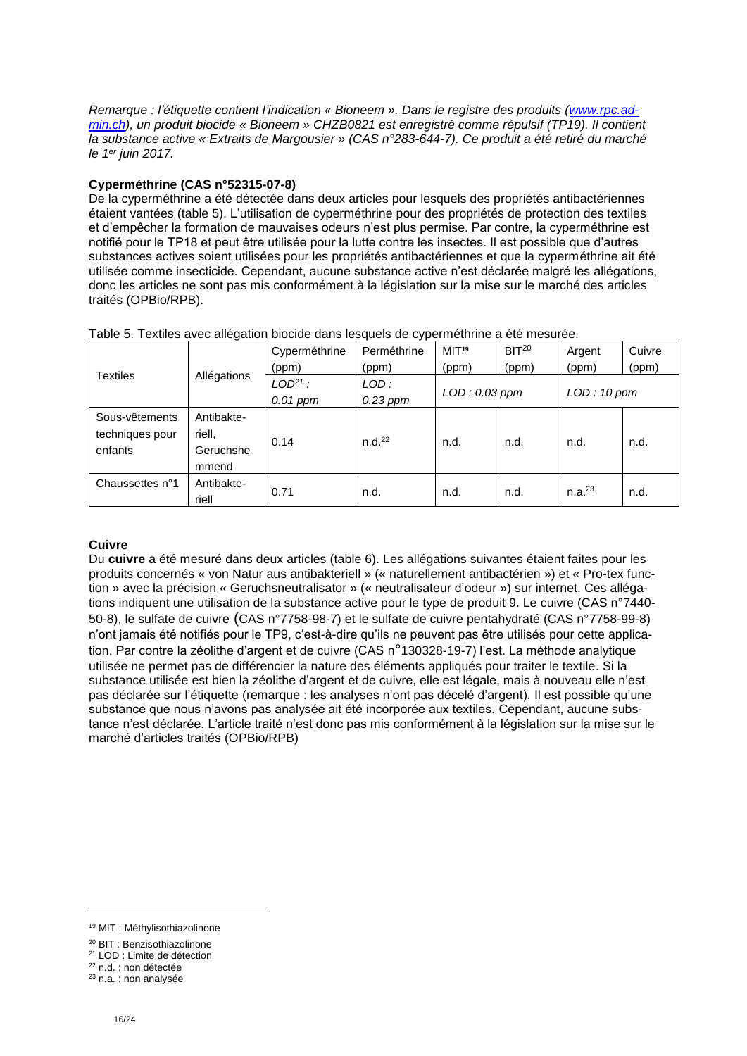*Remarque : l'étiquette contient l'indication « Bioneem ». Dans le registre des produits [\(www.rpc.ad](http://www.rpc.admin.ch/)[min.ch\)](http://www.rpc.admin.ch/), un produit biocide « Bioneem » CHZB0821 est enregistré comme répulsif (TP19). Il contient la substance active « Extraits de Margousier » (CAS n°283-644-7). Ce produit a été retiré du marché le 1er juin 2017.*

#### **Cyperméthrine (CAS n°52315-07-8)**

De la cyperméthrine a été détectée dans deux articles pour lesquels des propriétés antibactériennes étaient vantées (table 5). L'utilisation de cyperméthrine pour des propriétés de protection des textiles et d'empêcher la formation de mauvaises odeurs n'est plus permise. Par contre, la cyperméthrine est notifié pour le TP18 et peut être utilisée pour la lutte contre les insectes. Il est possible que d'autres substances actives soient utilisées pour les propriétés antibactériennes et que la cyperméthrine ait été utilisée comme insecticide. Cependant, aucune substance active n'est déclarée malgré les allégations, donc les articles ne sont pas mis conformément à la législation sur la mise sur le marché des articles traités (OPBio/RPB).

|                                              |                                            | Cyperméthrine | Perméthrine        | MIT <sup>19</sup> | BIT <sup>20</sup> | Argent             | Cuivre      |  |
|----------------------------------------------|--------------------------------------------|---------------|--------------------|-------------------|-------------------|--------------------|-------------|--|
| <b>Textiles</b>                              |                                            | (ppm)         | (ppm)              | (ppm)             | (ppm)             | (ppm)              | (ppm)       |  |
|                                              | Allégations                                | $LOD21$ :     | LOD:               | LOD: 0.03 ppm     |                   |                    | LOD: 10 ppm |  |
|                                              |                                            | $0.01$ ppm    | $0.23$ ppm         |                   |                   |                    |             |  |
| Sous-vêtements<br>techniques pour<br>enfants | Antibakte-<br>riell.<br>Geruchshe<br>mmend | 0.14          | n.d. <sup>22</sup> | n.d.              | n.d.              | n.d.               | n.d.        |  |
| Chaussettes n°1                              | Antibakte-<br>riell                        | 0.71          | n.d.               | n.d.              | n.d.              | n.a. <sup>23</sup> | n.d.        |  |

Table 5. Textiles avec allégation biocide dans lesquels de cyperméthrine a été mesurée.

#### **Cuivre**

Du **cuivre** a été mesuré dans deux articles (table 6). Les allégations suivantes étaient faites pour les produits concernés « von Natur aus antibakteriell » (« naturellement antibactérien ») et « Pro-tex function » avec la précision « Geruchsneutralisator » (« neutralisateur d'odeur ») sur internet. Ces allégations indiquent une utilisation de la substance active pour le type de produit 9. Le cuivre (CAS n°7440- 50-8), le sulfate de cuivre (CAS n°7758-98-7) et le sulfate de cuivre pentahydraté (CAS n°7758-99-8) n'ont jamais été notifiés pour le TP9, c'est-à-dire qu'ils ne peuvent pas être utilisés pour cette application. Par contre la zéolithe d'argent et de cuivre (CAS n°130328-19-7) l'est. La méthode analytique utilisée ne permet pas de différencier la nature des éléments appliqués pour traiter le textile. Si la substance utilisée est bien la zéolithe d'argent et de cuivre, elle est légale, mais à nouveau elle n'est pas déclarée sur l'étiquette (remarque : les analyses n'ont pas décelé d'argent). Il est possible qu'une substance que nous n'avons pas analysée ait été incorporée aux textiles. Cependant, aucune substance n'est déclarée. L'article traité n'est donc pas mis conformément à la législation sur la mise sur le marché d'articles traités (OPBio/RPB)

<sup>19</sup> MIT : Méthylisothiazolinone

<sup>20</sup> BIT : Benzisothiazolinone

<sup>21</sup> LOD : Limite de détection

<sup>22</sup> n.d. : non détectée <sup>23</sup> n.a. : non analysée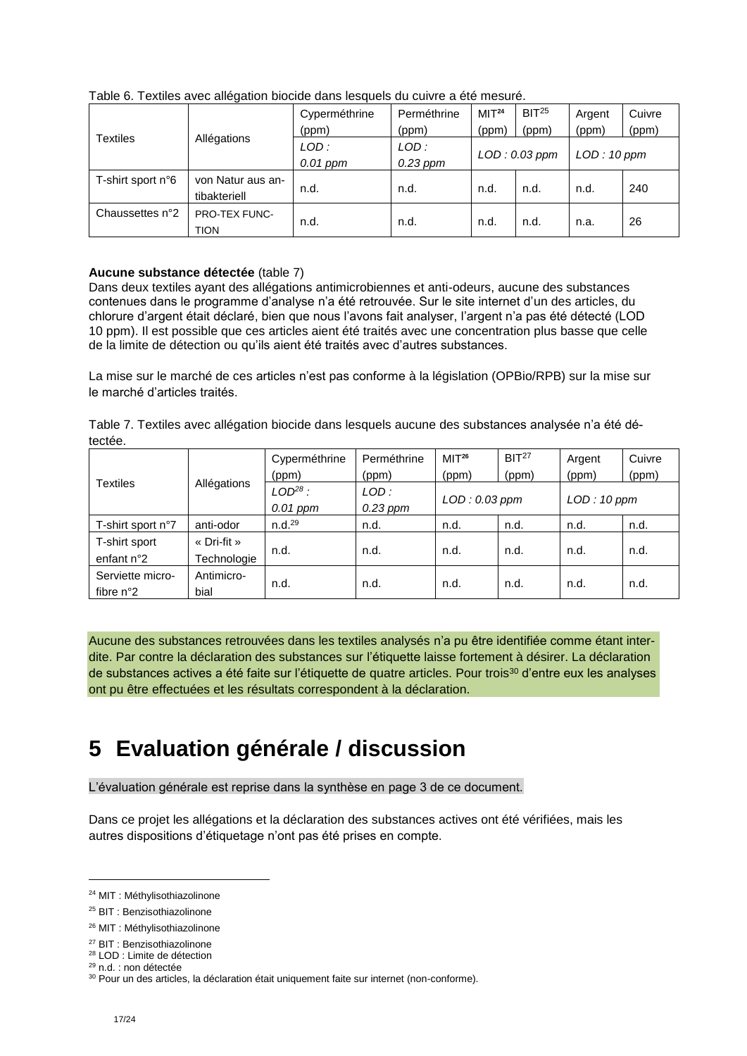|                   |                                     | Cyperméthrine<br>Perméthrine |            | MI <sup>24</sup> | BIT <sup>25</sup> | Argent      | Cuivre |  |
|-------------------|-------------------------------------|------------------------------|------------|------------------|-------------------|-------------|--------|--|
|                   |                                     | (ppm)                        | (ppm)      | (ppm)            | (ppm)             | (ppm)       | (ppm)  |  |
| <b>Textiles</b>   | Allégations                         | LOD:                         | LOD:       |                  |                   |             |        |  |
|                   |                                     | $0.01$ ppm                   | $0.23$ ppm | $LOD: 0.03$ ppm  |                   | LOD: 10 ppm |        |  |
| T-shirt sport n°6 | von Natur aus an-<br>tibakteriell   | n.d.                         | n.d.       | n.d.             | n.d.              | n.d.        | 240    |  |
| Chaussettes n°2   | <b>PRO-TEX FUNC-</b><br><b>TION</b> | n.d.                         | n.d.       | n.d.             | n.d.              | n.a.        | 26     |  |

Table 6. Textiles avec allégation biocide dans lesquels du cuivre a été mesuré.

#### **Aucune substance détectée** (table 7)

Dans deux textiles ayant des allégations antimicrobiennes et anti-odeurs, aucune des substances contenues dans le programme d'analyse n'a été retrouvée. Sur le site internet d'un des articles, du chlorure d'argent était déclaré, bien que nous l'avons fait analyser, l'argent n'a pas été détecté (LOD 10 ppm). Il est possible que ces articles aient été traités avec une concentration plus basse que celle de la limite de détection ou qu'ils aient été traités avec d'autres substances.

La mise sur le marché de ces articles n'est pas conforme à la législation (OPBio/RPB) sur la mise sur le marché d'articles traités.

|         |  | Table 7. Textiles avec allégation biocide dans lesquels aucune des substances analysée n'a été dé- |
|---------|--|----------------------------------------------------------------------------------------------------|
| tectée. |  |                                                                                                    |

|                    |             | Cyperméthrine      | Perméthrine | MIT <sup>26</sup> | BIT <sup>27</sup>            | Argent | Cuivre |
|--------------------|-------------|--------------------|-------------|-------------------|------------------------------|--------|--------|
| <b>Textiles</b>    |             | (ppm)              | (ppm)       | (ppm)             | (ppm)                        | (ppm)  | (ppm)  |
|                    | Allégations | $LOD28$ :          | LOD:        |                   | LOD: 0.03 ppm<br>LOD: 10 ppm |        |        |
|                    |             | $0.01$ ppm         | $0.23$ ppm  |                   |                              |        |        |
| T-shirt sport n°7  | anti-odor   | n.d. <sup>29</sup> | n.d.        | n.d.              | n.d.                         | n.d.   | n.d.   |
| T-shirt sport      | « Dri-fit » |                    |             |                   | n.d.                         | n.d.   | n.d.   |
| enfant n°2         | Technologie | n.d.               | n.d.        | n.d.              |                              |        |        |
| Serviette micro-   | Antimicro-  |                    |             |                   | n.d.                         | n.d.   | n.d.   |
| fibre $n^{\circ}2$ | bial        | n.d.               | n.d.        | n.d.              |                              |        |        |

Aucune des substances retrouvées dans les textiles analysés n'a pu être identifiée comme étant interdite. Par contre la déclaration des substances sur l'étiquette laisse fortement à désirer. La déclaration de substances actives a été faite sur l'étiquette de quatre articles. Pour trois<sup>30</sup> d'entre eux les analyses ont pu être effectuées et les résultats correspondent à la déclaration.

# <span id="page-16-0"></span>**5 Evaluation générale / discussion**

L'évaluation générale est reprise dans la synthèse en page 3 de ce document.

Dans ce projet les allégations et la déclaration des substances actives ont été vérifiées, mais les autres dispositions d'étiquetage n'ont pas été prises en compte.

<sup>24</sup> MIT : Méthylisothiazolinone

<sup>25</sup> BIT : Benzisothiazolinone

<sup>26</sup> MIT : Méthylisothiazolinone

<sup>27</sup> BIT : Benzisothiazolinone

<sup>28</sup> LOD : Limite de détection

<sup>29</sup> n.d. : non détectée

<sup>&</sup>lt;sup>30</sup> Pour un des articles, la déclaration était uniquement faite sur internet (non-conforme).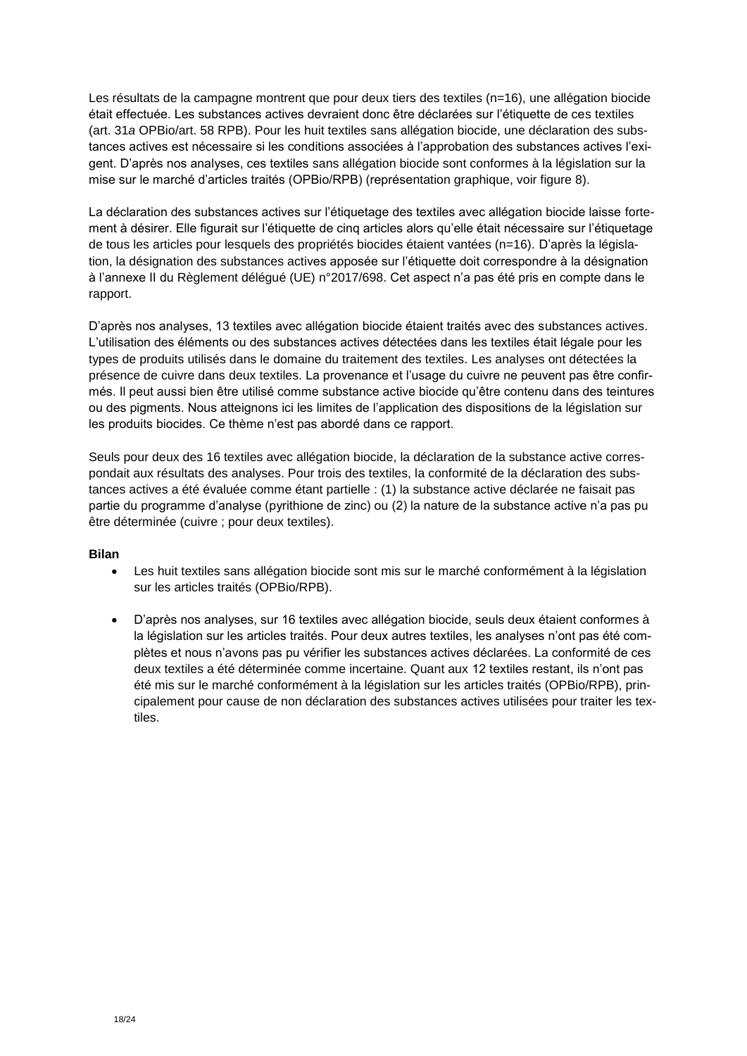Les résultats de la campagne montrent que pour deux tiers des textiles (n=16), une allégation biocide était effectuée. Les substances actives devraient donc être déclarées sur l'étiquette de ces textiles (art. 31*a* OPBio/art. 58 RPB). Pour les huit textiles sans allégation biocide, une déclaration des substances actives est nécessaire si les conditions associées à l'approbation des substances actives l'exigent. D'après nos analyses, ces textiles sans allégation biocide sont conformes à la législation sur la mise sur le marché d'articles traités (OPBio/RPB) (représentation graphique, voir figure 8).

La déclaration des substances actives sur l'étiquetage des textiles avec allégation biocide laisse fortement à désirer. Elle figurait sur l'étiquette de cinq articles alors qu'elle était nécessaire sur l'étiquetage de tous les articles pour lesquels des propriétés biocides étaient vantées (n=16). D'après la législation, la désignation des substances actives apposée sur l'étiquette doit correspondre à la désignation à l'annexe II du Règlement délégué (UE) n°2017/698. Cet aspect n'a pas été pris en compte dans le rapport.

D'après nos analyses, 13 textiles avec allégation biocide étaient traités avec des substances actives. L'utilisation des éléments ou des substances actives détectées dans les textiles était légale pour les types de produits utilisés dans le domaine du traitement des textiles. Les analyses ont détectées la présence de cuivre dans deux textiles. La provenance et l'usage du cuivre ne peuvent pas être confirmés. Il peut aussi bien être utilisé comme substance active biocide qu'être contenu dans des teintures ou des pigments. Nous atteignons ici les limites de l'application des dispositions de la législation sur les produits biocides. Ce thème n'est pas abordé dans ce rapport.

Seuls pour deux des 16 textiles avec allégation biocide, la déclaration de la substance active correspondait aux résultats des analyses. Pour trois des textiles, la conformité de la déclaration des substances actives a été évaluée comme étant partielle : (1) la substance active déclarée ne faisait pas partie du programme d'analyse (pyrithione de zinc) ou (2) la nature de la substance active n'a pas pu être déterminée (cuivre ; pour deux textiles).

#### **Bilan**

- Les huit textiles sans allégation biocide sont mis sur le marché conformément à la législation sur les articles traités (OPBio/RPB).
- D'après nos analyses, sur 16 textiles avec allégation biocide, seuls deux étaient conformes à la législation sur les articles traités. Pour deux autres textiles, les analyses n'ont pas été complètes et nous n'avons pas pu vérifier les substances actives déclarées. La conformité de ces deux textiles a été déterminée comme incertaine. Quant aux 12 textiles restant, ils n'ont pas été mis sur le marché conformément à la législation sur les articles traités (OPBio/RPB), principalement pour cause de non déclaration des substances actives utilisées pour traiter les textiles.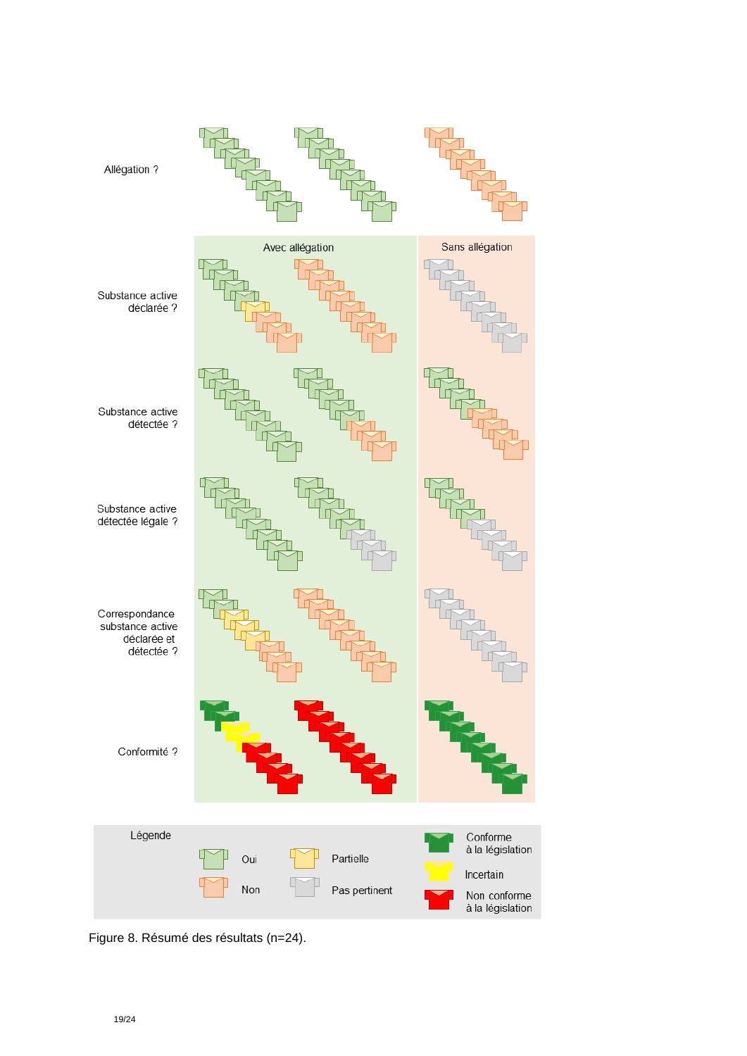

Figure 8. Résumé des résultats (n=24).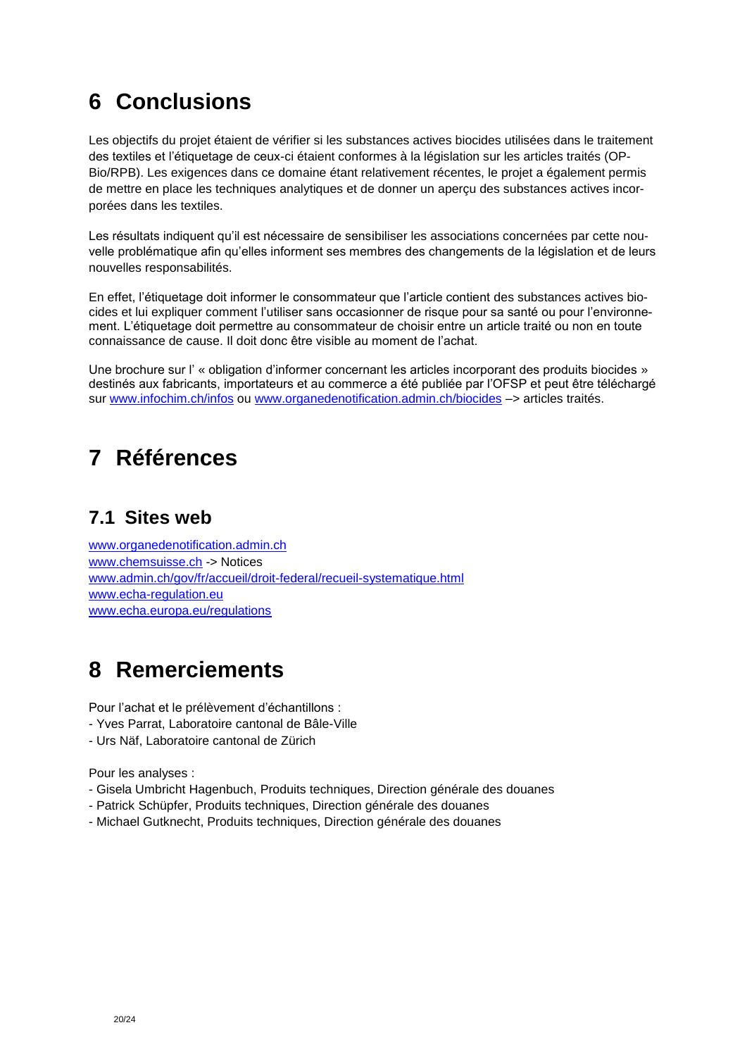# <span id="page-19-0"></span>**6 Conclusions**

Les objectifs du projet étaient de vérifier si les substances actives biocides utilisées dans le traitement des textiles et l'étiquetage de ceux-ci étaient conformes à la législation sur les articles traités (OP-Bio/RPB). Les exigences dans ce domaine étant relativement récentes, le projet a également permis de mettre en place les techniques analytiques et de donner un aperçu des substances actives incorporées dans les textiles.

Les résultats indiquent qu'il est nécessaire de sensibiliser les associations concernées par cette nouvelle problématique afin qu'elles informent ses membres des changements de la législation et de leurs nouvelles responsabilités.

En effet, l'étiquetage doit informer le consommateur que l'article contient des substances actives biocides et lui expliquer comment l'utiliser sans occasionner de risque pour sa santé ou pour l'environnement. L'étiquetage doit permettre au consommateur de choisir entre un article traité ou non en toute connaissance de cause. Il doit donc être visible au moment de l'achat.

Une brochure sur l' « obligation d'informer concernant les articles incorporant des produits biocides » destinés aux fabricants, importateurs et au commerce a été publiée par l'OFSP et peut être téléchargé sur [www.infochim.ch/infos](http://www.infochim.ch/infos) ou [www.organedenotification.admin.ch/biocides](http://www.organedenotification.admin.ch/biocides) –> articles traités.

# <span id="page-19-1"></span>**7 Références**

### <span id="page-19-2"></span>**7.1 Sites web**

[www.organedenotification.admin.ch](http://www.organedenotification.admin.ch/) [www.chemsuisse.ch](http://www.chemsuisse.ch/) -> Notices [www.admin.ch/gov/fr/accueil/droit-federal/recueil-systematique.html](http://www.admin.ch/gov/fr/accueil/droit-federal/recueil-systematique.html) www.echa-regulation.eu [www.echa.europa.eu/regulations](http://www.echa.europa.eu/regulations)

## <span id="page-19-3"></span>**8 Remerciements**

Pour l'achat et le prélèvement d'échantillons :

- Yves Parrat, Laboratoire cantonal de Bâle-Ville
- Urs Näf, Laboratoire cantonal de Zürich

Pour les analyses :

- Gisela Umbricht Hagenbuch, Produits techniques, Direction générale des douanes
- Patrick Schüpfer, Produits techniques, Direction générale des douanes
- Michael Gutknecht, Produits techniques, Direction générale des douanes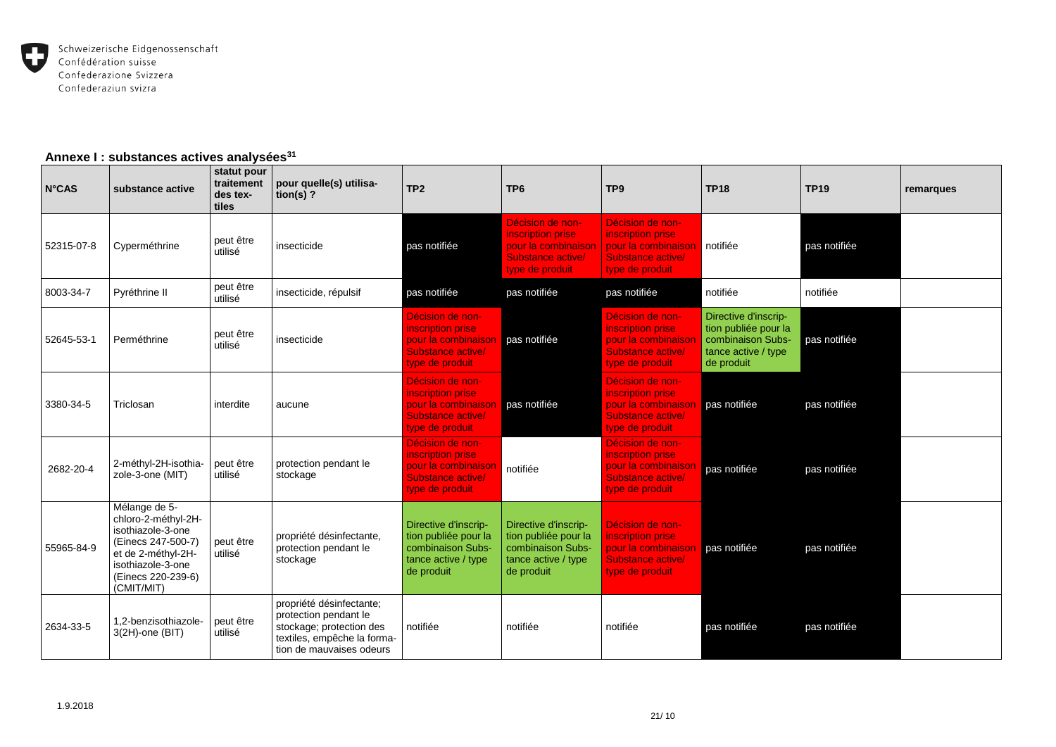

#### **Annexe I : substances actives analysées<sup>31</sup>**

| $N^{\circ}$ CAS | substance active                                                                                                                                               | statut pour<br>traitement<br>des tex-<br>tiles | pour quelle(s) utilisa-<br>tion(s) $?$                                                                                                   | TP <sub>2</sub>                                                                                        | TP <sub>6</sub>                                                                                        | TP <sub>9</sub>                                                                                      | <b>TP18</b>                                                                                            | <b>TP19</b>  | remarques |
|-----------------|----------------------------------------------------------------------------------------------------------------------------------------------------------------|------------------------------------------------|------------------------------------------------------------------------------------------------------------------------------------------|--------------------------------------------------------------------------------------------------------|--------------------------------------------------------------------------------------------------------|------------------------------------------------------------------------------------------------------|--------------------------------------------------------------------------------------------------------|--------------|-----------|
| 52315-07-8      | Cyperméthrine                                                                                                                                                  | peut être<br>utilisé                           | insecticide                                                                                                                              | pas notifiée                                                                                           | Décision de non-<br>inscription prise<br>pour la combinaison<br>Substance active/<br>type de produit   | Décision de non-<br>inscription prise<br>pour la combinaison<br>Substance active/<br>type de produit | notifiée                                                                                               | pas notifiée |           |
| 8003-34-7       | Pyréthrine II                                                                                                                                                  | peut être<br>utilisé                           | insecticide, répulsif                                                                                                                    | pas notifiée                                                                                           | pas notifiée                                                                                           | pas notifiée                                                                                         | notifiée                                                                                               | notifiée     |           |
| 52645-53-1      | Perméthrine                                                                                                                                                    | peut être<br>utilisé                           | insecticide                                                                                                                              | Décision de non-<br>inscription prise<br>pour la combinaison<br>Substance active/<br>type de produit   | pas notifiée                                                                                           | Décision de non-<br>inscription prise<br>pour la combinaison<br>Substance active/<br>type de produit | Directive d'inscrip-<br>tion publiée pour la<br>combinaison Subs-<br>tance active / type<br>de produit | pas notifiée |           |
| 3380-34-5       | Triclosan                                                                                                                                                      | interdite                                      | aucune                                                                                                                                   | Décision de non-<br>inscription prise<br>pour la combinaison<br>Substance active/<br>type de produit   | pas notifiée                                                                                           | Décision de non-<br>inscription prise<br>pour la combinaison<br>Substance active/<br>type de produit | pas notifiée                                                                                           | pas notifiée |           |
| 2682-20-4       | 2-méthyl-2H-isothia-<br>zole-3-one (MIT)                                                                                                                       | peut être<br>utilisé                           | protection pendant le<br>stockage                                                                                                        | Décision de non-<br>inscription prise<br>pour la combinaisor<br>Substance active/<br>type de produit   | notifiée                                                                                               | Décision de non-<br>inscription prise<br>pour la combinaison<br>Substance active/<br>type de produit | pas notifiée                                                                                           | pas notifiée |           |
| 55965-84-9      | Mélange de 5-<br>chloro-2-méthyl-2H-<br>isothiazole-3-one<br>(Einecs 247-500-7)<br>et de 2-méthyl-2H-<br>isothiazole-3-one<br>(Einecs 220-239-6)<br>(CMIT/MIT) | peut être<br>utilisé                           | propriété désinfectante,<br>protection pendant le<br>stockage                                                                            | Directive d'inscrip-<br>tion publiée pour la<br>combinaison Subs-<br>tance active / type<br>de produit | Directive d'inscrip-<br>tion publiée pour la<br>combinaison Subs-<br>tance active / type<br>de produit | Décision de non-<br>inscription prise<br>pour la combinaison<br>Substance active/<br>type de produit | pas notifiée                                                                                           | pas notifiée |           |
| 2634-33-5       | 1,2-benzisothiazole-<br>$3(2H)$ -one (BIT)                                                                                                                     | peut être<br>utilisé                           | propriété désinfectante;<br>protection pendant le<br>stockage; protection des<br>textiles, empêche la forma-<br>tion de mauvaises odeurs | notifiée                                                                                               | notifiée                                                                                               | notifiée                                                                                             | pas notifiée                                                                                           | pas notifiée |           |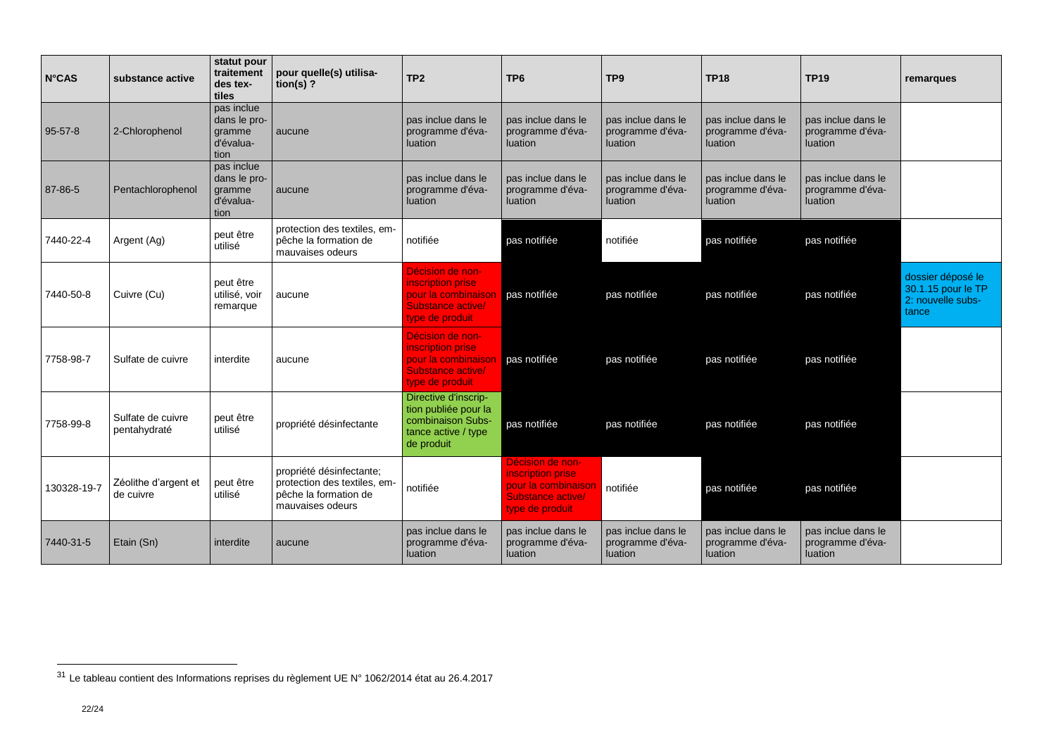| <b>N°CAS</b>  | substance active                  | statut pour<br>traitement<br>des tex-<br>tiles            | pour quelle(s) utilisa-<br>tion(s) $?$                                                                | TP <sub>2</sub>                                                                                        | TP <sub>6</sub>                                                                                      | TP <sub>9</sub>                                          | <b>TP18</b>                                       | <b>TP19</b>                                              | remarques                                                             |
|---------------|-----------------------------------|-----------------------------------------------------------|-------------------------------------------------------------------------------------------------------|--------------------------------------------------------------------------------------------------------|------------------------------------------------------------------------------------------------------|----------------------------------------------------------|---------------------------------------------------|----------------------------------------------------------|-----------------------------------------------------------------------|
| $95 - 57 - 8$ | 2-Chlorophenol                    | pas inclue<br>dans le pro-<br>gramme<br>d'évalua-<br>tion | aucune                                                                                                | pas inclue dans le<br>programme d'éva-<br>luation                                                      | pas inclue dans le<br>programme d'éva-<br>luation                                                    | pas inclue dans le<br>programme d'éva-<br><b>luation</b> | pas inclue dans le<br>programme d'éva-<br>luation | pas inclue dans le<br>programme d'éva-<br>luation        |                                                                       |
| 87-86-5       | Pentachlorophenol                 | pas inclue<br>dans le pro-<br>gramme<br>d'évalua-<br>tion | aucune                                                                                                | pas inclue dans le<br>programme d'éva-<br><b>luation</b>                                               | pas inclue dans le<br>programme d'éva-<br>luation                                                    | pas inclue dans le<br>programme d'éva-<br>luation        | pas inclue dans le<br>programme d'éva-<br>luation | pas inclue dans le<br>programme d'éva-<br><b>luation</b> |                                                                       |
| 7440-22-4     | Argent (Ag)                       | peut être<br>utilisé                                      | protection des textiles, em-<br>pêche la formation de<br>mauvaises odeurs                             | notifiée                                                                                               | pas notifiée                                                                                         | notifiée                                                 | pas notifiée                                      | pas notifiée                                             |                                                                       |
| 7440-50-8     | Cuivre (Cu)                       | peut être<br>utilisé, voir<br>remarque                    | aucune                                                                                                | Décision de non-<br>inscription prise<br>pour la combinaison<br>Substance active/<br>type de produit   | pas notifiée                                                                                         | pas notifiée                                             | pas notifiée                                      | pas notifiée                                             | dossier déposé le<br>30.1.15 pour le TP<br>2: nouvelle subs-<br>tance |
| 7758-98-7     | Sulfate de cuivre                 | interdite                                                 | aucune                                                                                                | Décision de non-<br>inscription prise<br>pour la combinaison<br>Substance active/<br>type de produit   | pas notifiée                                                                                         | pas notifiée                                             | pas notifiée                                      | pas notifiée                                             |                                                                       |
| 7758-99-8     | Sulfate de cuivre<br>pentahydraté | peut être<br>utilisé                                      | propriété désinfectante                                                                               | Directive d'inscrip-<br>tion publiée pour la<br>combinaison Subs-<br>tance active / type<br>de produit | pas notifiée                                                                                         | pas notifiée                                             | pas notifiée                                      | pas notifiée                                             |                                                                       |
| 130328-19-7   | Zéolithe d'argent et<br>de cuivre | peut être<br>utilisé                                      | propriété désinfectante;<br>protection des textiles, em-<br>pêche la formation de<br>mauvaises odeurs | notifiée                                                                                               | Décision de non-<br>inscription prise<br>pour la combinaison<br>Substance active/<br>type de produit | notifiée                                                 | pas notifiée                                      | pas notifiée                                             |                                                                       |
| 7440-31-5     | Etain (Sn)                        | interdite                                                 | aucune                                                                                                | pas inclue dans le<br>programme d'éva-<br><b>luation</b>                                               | pas inclue dans le<br>programme d'éva-<br>luation                                                    | pas inclue dans le<br>programme d'éva-<br>luation        | pas inclue dans le<br>programme d'éva-<br>luation | pas inclue dans le<br>programme d'éva-<br>luation        |                                                                       |

 $31$  Le tableau contient des Informations reprises du règlement UE N° 1062/2014 état au 26.4.2017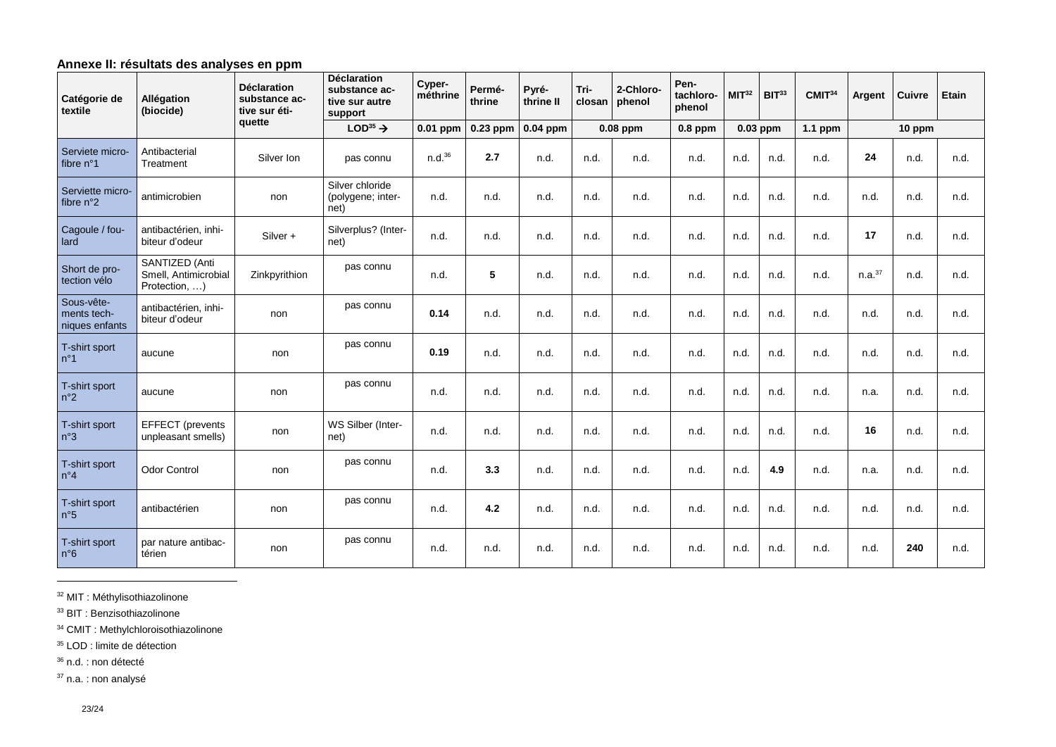#### **Annexe II: résultats des analyses en ppm**

| Catégorie de<br>textile                     | Allégation<br>(biocide)                                 | <b>Déclaration</b><br>substance ac-<br>tive sur éti- | <b>Déclaration</b><br>substance ac-<br>tive sur autre<br>support | Cyper-<br>méthrine | Permé-<br>thrine | Pyré-<br>thrine II | Tri-<br>closan | 2-Chloro-<br>phenol | Pen-<br>tachloro-<br>phenol | MIT <sup>32</sup> | BIT <sup>33</sup> | CMIT <sup>34</sup> | Argent             | <b>Cuivre</b> | Etain |
|---------------------------------------------|---------------------------------------------------------|------------------------------------------------------|------------------------------------------------------------------|--------------------|------------------|--------------------|----------------|---------------------|-----------------------------|-------------------|-------------------|--------------------|--------------------|---------------|-------|
|                                             |                                                         | quette                                               | $LOD35$ $\rightarrow$                                            | $0.01$ ppm         | $0.23$ ppm       | $0.04$ ppm         |                | 0.08 ppm            | $0.8$ ppm                   | 0.03 ppm          |                   | $1.1$ ppm          | 10 ppm             |               |       |
| Serviete micro-<br>fibre n°1                | Antibacterial<br>Treatment                              | Silver Ion                                           | pas connu                                                        | n.d. <sup>36</sup> | 2.7              | n.d.               | n.d.           | n.d.                | n.d.                        | n.d.              | n.d.              | n.d.               | 24                 | n.d.          | n.d.  |
| Serviette micro-<br>fibre n°2               | antimicrobien                                           | non                                                  | Silver chloride<br>(polygene; inter-<br>net)                     | n.d.               | n.d.             | n.d.               | n.d.           | n.d.                | n.d.                        | n.d.              | n.d.              | n.d.               | n.d.               | n.d.          | n.d.  |
| Cagoule / fou-<br>lard                      | antibactérien, inhi-<br>biteur d'odeur                  | Silver +                                             | Silverplus? (Inter-<br>net)                                      | n.d.               | n.d.             | n.d.               | n.d.           | n.d.                | n.d.                        | n.d.              | n.d.              | n.d.               | 17                 | n.d.          | n.d.  |
| Short de pro-<br>tection vélo               | SANTIZED (Anti<br>Smell, Antimicrobial<br>Protection, ) | Zinkpyrithion                                        | pas connu                                                        | n.d.               | 5                | n.d.               | n.d.           | n.d.                | n.d.                        | n.d.              | n.d.              | n.d.               | n.a. <sup>37</sup> | n.d.          | n.d.  |
| Sous-vête-<br>ments tech-<br>niques enfants | antibactérien, inhi-<br>biteur d'odeur                  | non                                                  | pas connu                                                        | 0.14               | n.d.             | n.d.               | n.d.           | n.d.                | n.d.                        | n.d.              | n.d.              | n.d.               | n.d.               | n.d.          | n.d.  |
| T-shirt sport<br>$n^{\circ}1$               | aucune                                                  | non                                                  | pas connu                                                        | 0.19               | n.d.             | n.d.               | n.d.           | n.d.                | n.d.                        | n.d.              | n.d.              | n.d.               | n.d.               | n.d.          | n.d.  |
| T-shirt sport<br>$n^{\circ}2$               | aucune                                                  | non                                                  | pas connu                                                        | n.d.               | n.d.             | n.d.               | n.d.           | n.d.                | n.d.                        | n.d.              | n.d.              | n.d.               | n.a.               | n.d.          | n.d.  |
| T-shirt sport<br>n°3                        | <b>EFFECT</b> (prevents<br>unpleasant smells)           | non                                                  | WS Silber (Inter-<br>net)                                        | n.d.               | n.d.             | n.d.               | n.d.           | n.d.                | n.d.                        | n.d.              | n.d.              | n.d.               | 16                 | n.d.          | n.d.  |
| T-shirt sport<br>$n^{\circ}4$               | <b>Odor Control</b>                                     | non                                                  | pas connu                                                        | n.d.               | 3.3              | n.d.               | n.d.           | n.d.                | n.d.                        | n.d.              | 4.9               | n.d.               | n.a.               | n.d.          | n.d.  |
| T-shirt sport<br>n°5                        | antibactérien                                           | non                                                  | pas connu                                                        | n.d.               | 4.2              | n.d.               | n.d.           | n.d.                | n.d.                        | n.d.              | n.d.              | n.d.               | n.d.               | n.d.          | n.d.  |
| T-shirt sport<br>$n^{\circ}6$               | par nature antibac-<br>térien                           | non                                                  | pas connu                                                        | n.d.               | n.d.             | n.d.               | n.d.           | n.d.                | n.d.                        | n.d.              | n.d.              | n.d.               | n.d.               | 240           | n.d.  |

<sup>32</sup> MIT : Méthylisothiazolinone

<sup>33</sup> BIT : Benzisothiazolinone

<sup>34</sup> CMIT : Methylchloroisothiazolinone

<sup>35</sup> LOD : limite de détection

<sup>36</sup> n.d. : non détecté

-

<sup>37</sup> n.a. : non analysé